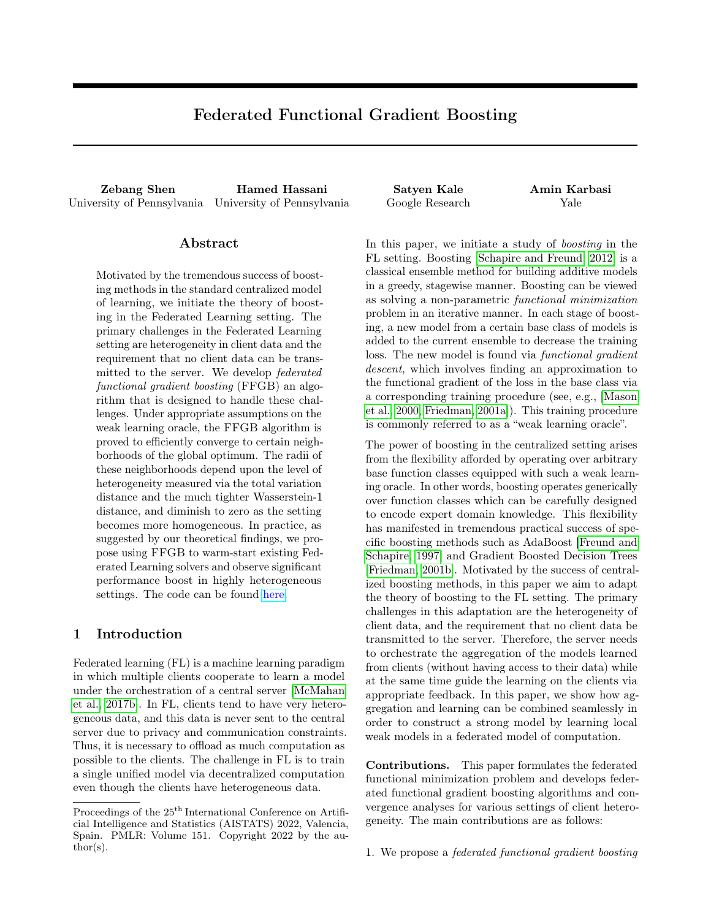# Federated Functional Gradient Boosting

Zebang Shen Hamed Hassani Satyen Kale Amin Karbasi University of Pennsylvania University of Pennsylvania Google Research Yale

### Abstract

Motivated by the tremendous success of boosting methods in the standard centralized model of learning, we initiate the theory of boosting in the Federated Learning setting. The primary challenges in the Federated Learning setting are heterogeneity in client data and the requirement that no client data can be transmitted to the server. We develop federated functional gradient boosting (FFGB) an algorithm that is designed to handle these challenges. Under appropriate assumptions on the weak learning oracle, the FFGB algorithm is proved to efficiently converge to certain neighborhoods of the global optimum. The radii of these neighborhoods depend upon the level of heterogeneity measured via the total variation distance and the much tighter Wasserstein-1 distance, and diminish to zero as the setting becomes more homogeneous. In practice, as suggested by our theoretical findings, we propose using FFGB to warm-start existing Federated Learning solvers and observe significant performance boost in highly heterogeneous settings. The code can be found [here.](https://github.com/shenzebang/Federated-Learning-Pytorch)

# 1 Introduction

Federated learning (FL) is a machine learning paradigm in which multiple clients cooperate to learn a model under the orchestration of a central server [\[McMahan](#page-9-0) [et al., 2017b\]](#page-9-0). In FL, clients tend to have very heterogeneous data, and this data is never sent to the central server due to privacy and communication constraints. Thus, it is necessary to offload as much computation as possible to the clients. The challenge in FL is to train a single unified model via decentralized computation even though the clients have heterogeneous data.

In this paper, we initiate a study of boosting in the FL setting. Boosting [\[Schapire and Freund, 2012\]](#page-9-1) is a classical ensemble method for building additive models in a greedy, stagewise manner. Boosting can be viewed as solving a non-parametric functional minimization problem in an iterative manner. In each stage of boosting, a new model from a certain base class of models is added to the current ensemble to decrease the training loss. The new model is found via *functional gradient* descent, which involves finding an approximation to the functional gradient of the loss in the base class via a corresponding training procedure (see, e.g., [\[Mason](#page-9-2) [et al., 2000,](#page-9-2) [Friedman, 2001a\]](#page-9-3)). This training procedure is commonly referred to as a "weak learning oracle".

The power of boosting in the centralized setting arises from the flexibility afforded by operating over arbitrary base function classes equipped with such a weak learning oracle. In other words, boosting operates generically over function classes which can be carefully designed to encode expert domain knowledge. This flexibility has manifested in tremendous practical success of specific boosting methods such as AdaBoost [\[Freund and](#page-9-4) [Schapire, 1997\]](#page-9-4) and Gradient Boosted Decision Trees [\[Friedman, 2001b\]](#page-9-5). Motivated by the success of centralized boosting methods, in this paper we aim to adapt the theory of boosting to the FL setting. The primary challenges in this adaptation are the heterogeneity of client data, and the requirement that no client data be transmitted to the server. Therefore, the server needs to orchestrate the aggregation of the models learned from clients (without having access to their data) while at the same time guide the learning on the clients via appropriate feedback. In this paper, we show how aggregation and learning can be combined seamlessly in order to construct a strong model by learning local weak models in a federated model of computation.

Contributions. This paper formulates the federated functional minimization problem and develops federated functional gradient boosting algorithms and convergence analyses for various settings of client heterogeneity. The main contributions are as follows:

Proceedings of the  $25^{\text{th}}$  International Conference on Artificial Intelligence and Statistics (AISTATS) 2022, Valencia, Spain. PMLR: Volume 151. Copyright 2022 by the au- $\text{thor}(s)$ .

<sup>1.</sup> We propose a federated functional gradient boosting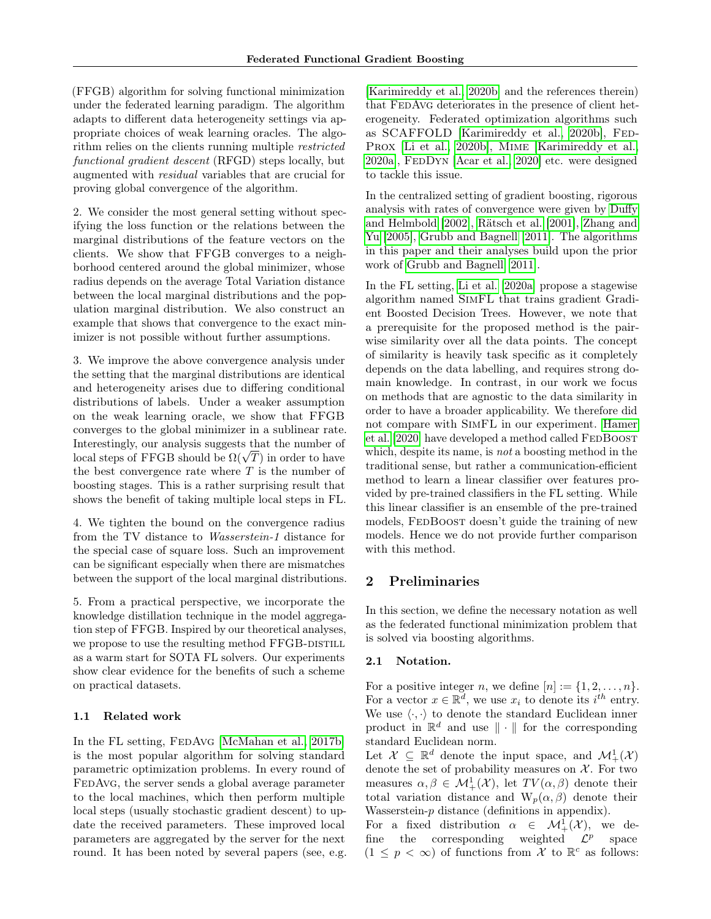(FFGB) algorithm for solving functional minimization under the federated learning paradigm. The algorithm adapts to different data heterogeneity settings via appropriate choices of weak learning oracles. The algorithm relies on the clients running multiple *restricted* functional gradient descent (RFGD) steps locally, but augmented with residual variables that are crucial for proving global convergence of the algorithm.

2. We consider the most general setting without specifying the loss function or the relations between the marginal distributions of the feature vectors on the clients. We show that FFGB converges to a neighborhood centered around the global minimizer, whose radius depends on the average Total Variation distance between the local marginal distributions and the population marginal distribution. We also construct an example that shows that convergence to the exact minimizer is not possible without further assumptions.

3. We improve the above convergence analysis under the setting that the marginal distributions are identical and heterogeneity arises due to differing conditional distributions of labels. Under a weaker assumption on the weak learning oracle, we show that FFGB converges to the global minimizer in a sublinear rate. Interestingly, our analysis suggests that the number of interestingly, our analysis suggests that the number of local steps of FFGB should be  $\Omega(\sqrt{T})$  in order to have the best convergence rate where  $T$  is the number of boosting stages. This is a rather surprising result that shows the benefit of taking multiple local steps in FL.

4. We tighten the bound on the convergence radius from the TV distance to Wasserstein-1 distance for the special case of square loss. Such an improvement can be significant especially when there are mismatches between the support of the local marginal distributions.

5. From a practical perspective, we incorporate the knowledge distillation technique in the model aggregation step of FFGB. Inspired by our theoretical analyses, we propose to use the resulting method FFGB-DISTILL as a warm start for SOTA FL solvers. Our experiments show clear evidence for the benefits of such a scheme on practical datasets.

### 1.1 Related work

In the FL setting, FEDAVG [\[McMahan et al., 2017b\]](#page-9-0) is the most popular algorithm for solving standard parametric optimization problems. In every round of FEDAVG, the server sends a global average parameter to the local machines, which then perform multiple local steps (usually stochastic gradient descent) to update the received parameters. These improved local parameters are aggregated by the server for the next round. It has been noted by several papers (see, e.g.

[\[Karimireddy et al., 2020b\]](#page-9-6) and the references therein) that FEDAvG deteriorates in the presence of client heterogeneity. Federated optimization algorithms such as SCAFFOLD [\[Karimireddy et al., 2020b\]](#page-9-6), Fed-Prox [\[Li et al., 2020b\]](#page-9-7), Mime [\[Karimireddy et al.,](#page-9-8) [2020a\]](#page-9-8), FedDyn [\[Acar et al., 2020\]](#page-8-0) etc. were designed to tackle this issue.

In the centralized setting of gradient boosting, rigorous analysis with rates of convergence were given by [Duffy](#page-9-9) [and Helmbold](#page-9-9) [\[2002\]](#page-9-9), [Rätsch et al.](#page-9-10) [\[2001\]](#page-9-10), [Zhang and](#page-10-0) [Yu](#page-10-0) [\[2005\]](#page-10-0), [Grubb and Bagnell](#page-9-11) [\[2011\]](#page-9-11). The algorithms in this paper and their analyses build upon the prior work of [Grubb and Bagnell](#page-9-11) [\[2011\]](#page-9-11).

In the FL setting, [Li et al.](#page-9-12) [\[2020a\]](#page-9-12) propose a stagewise algorithm named SimFL that trains gradient Gradient Boosted Decision Trees. However, we note that a prerequisite for the proposed method is the pairwise similarity over all the data points. The concept of similarity is heavily task specific as it completely depends on the data labelling, and requires strong domain knowledge. In contrast, in our work we focus on methods that are agnostic to the data similarity in order to have a broader applicability. We therefore did not compare with SimFL in our experiment. [Hamer](#page-9-13) [et al.](#page-9-13) [\[2020\]](#page-9-13) have developed a method called FEDBOOST which, despite its name, is *not* a boosting method in the traditional sense, but rather a communication-efficient method to learn a linear classifier over features provided by pre-trained classifiers in the FL setting. While this linear classifier is an ensemble of the pre-trained models, FEDBOOST doesn't guide the training of new models. Hence we do not provide further comparison with this method.

# 2 Preliminaries

In this section, we define the necessary notation as well as the federated functional minimization problem that is solved via boosting algorithms.

#### 2.1 Notation.

For a positive integer n, we define  $[n] := \{1, 2, \ldots, n\}.$ For a vector  $x \in \mathbb{R}^d$ , we use  $x_i$  to denote its  $i^{th}$  entry. We use  $\langle \cdot, \cdot \rangle$  to denote the standard Euclidean inner product in  $\mathbb{R}^d$  and use  $\|\cdot\|$  for the corresponding standard Euclidean norm.

Let  $\mathcal{X} \subseteq \mathbb{R}^d$  denote the input space, and  $\mathcal{M}^1_+(\mathcal{X})$ denote the set of probability measures on  $X$ . For two measures  $\alpha, \beta \in M^1_+(\mathcal{X})$ , let  $TV(\alpha, \beta)$  denote their total variation distance and  $W_p(\alpha, \beta)$  denote their Wasserstein- $p$  distance (definitions in appendix).

For a fixed distribution  $\alpha \in \mathcal{M}^1_+(\mathcal{X}),$  we define the corresponding weighted  $\mathcal{L}^p$  space  $(1 \leq p < \infty)$  of functions from X to  $\mathbb{R}^c$  as follows: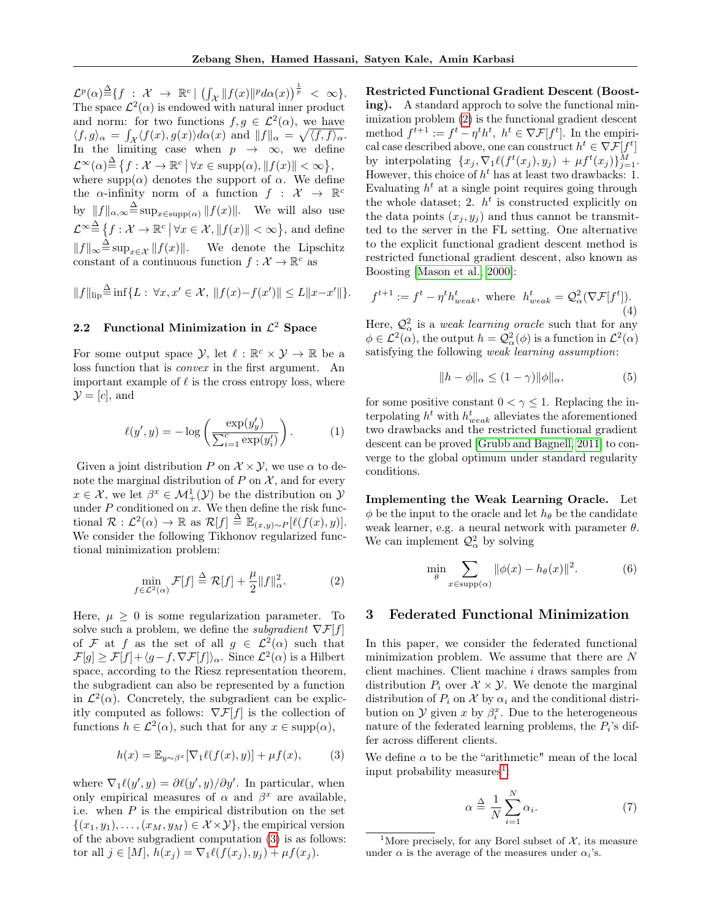$\mathcal{L}^p(\alpha) \triangleq \{f \; : \; \mathcal{X} \; \rightarrow \; \mathbb{R}^c \, | \; \left(\int_{\mathcal{X}} \|f(x)\|^p d\alpha(x) \right)^{\frac{1}{p}} \; < \; \infty \}.$ The space  $\mathcal{L}^2(\alpha)$  is endowed with natural inner product and norm: for two functions  $f, g \in \mathcal{L}^2(\alpha)$ , we have  $\langle f, g \rangle_{\alpha} = \int_{\mathcal{X}} \langle f(x), g(x) \rangle d\alpha(x)$  and  $||f||_{\alpha} = \sqrt{\langle f, f \rangle_{\alpha}}$ . In the limiting case when  $p \rightarrow \infty$ , we define  $\mathcal{L}^{\infty}(\alpha) \stackrel{\Delta}{=} \{f: \mathcal{X} \to \mathbb{R}^c \mid \forall x \in \text{supp}(\alpha), ||f(x)|| < \infty \},$ where supp $(\alpha)$  denotes the support of  $\alpha$ . We define the  $\alpha$ -infinity norm of a function  $f : \mathcal{X} \to \mathbb{R}^c$ by  $||f||_{\alpha,\infty} \triangleq \sup_{x \in \text{supp}(\alpha)} ||f(x)||$ . We will also use  $\mathcal{L}^{\infty} \stackrel{\Delta}{=} \{f: \mathcal{X} \to \mathbb{R}^c \, \big| \, \forall x \in \mathcal{X}, \|f(x)\| < \infty\},\$ and define  $||f||_{\infty} \triangleq \sup_{x \in \mathcal{X}} ||f(x)||.$  We denote the Lipschitz constant of a continuous function  $f: \mathcal{X} \to \mathbb{R}^c$  as

$$
||f||_{\text{lip}} \stackrel{\Delta}{=} \inf \{ L : \forall x, x' \in \mathcal{X}, ||f(x) - f(x')|| \le L ||x - x'|| \}.
$$

# 2.2 Functional Minimization in  $\mathcal{L}^2$  Space

For some output space  $\mathcal{Y}$ , let  $\ell : \mathbb{R}^c \times \mathcal{Y} \to \mathbb{R}$  be a loss function that is convex in the first argument. An important example of  $\ell$  is the cross entropy loss, where  $\mathcal{Y} = [c]$ , and

<span id="page-2-4"></span>
$$
\ell(y', y) = -\log\left(\frac{\exp(y'_y)}{\sum_{i=1}^c \exp(y'_i)}\right). \tag{1}
$$

Given a joint distribution P on  $\mathcal{X} \times \mathcal{Y}$ , we use  $\alpha$  to denote the marginal distribution of  $P$  on  $\mathcal{X}$ , and for every  $x \in \mathcal{X}$ , we let  $\beta^x \in \mathcal{M}^1_+(\mathcal{Y})$  be the distribution on  $\mathcal{Y}$ under  $P$  conditioned on  $x$ . We then define the risk functional  $\mathcal{R}: \mathcal{L}^2(\alpha) \to \mathbb{R}$  as  $\mathcal{R}[f] \triangleq \mathbb{E}_{(x,y)\sim P}[\ell(f(x), y)].$ We consider the following Tikhonov regularized functional minimization problem:

<span id="page-2-1"></span>
$$
\min_{f \in \mathcal{L}^2(\alpha)} \mathcal{F}[f] \stackrel{\Delta}{=} \mathcal{R}[f] + \frac{\mu}{2} \|f\|_{\alpha}^2. \tag{2}
$$

Here,  $\mu \geq 0$  is some regularization parameter. To solve such a problem, we define the *subgradient*  $\nabla \mathcal{F}[f]$ of F at f as the set of all  $g \in \mathcal{L}^2(\alpha)$  such that  $\mathcal{F}[g] \ge \mathcal{F}[f] + \langle g - f, \nabla \mathcal{F}[f] \rangle_\alpha$ . Since  $\mathcal{L}^2(\alpha)$  is a Hilbert space, according to the Riesz representation theorem, the subgradient can also be represented by a function in  $\mathcal{L}^2(\alpha)$ . Concretely, the subgradient can be explicitly computed as follows:  $\nabla \mathcal{F}[f]$  is the collection of functions  $h \in \mathcal{L}^2(\alpha)$ , such that for any  $x \in \text{supp}(\alpha)$ ,

<span id="page-2-0"></span>
$$
h(x) = \mathbb{E}_{y \sim \beta^x} [\nabla_1 \ell(f(x), y)] + \mu f(x), \tag{3}
$$

where  $\nabla_1 \ell(y', y) = \partial \ell(y', y) / \partial y'$ . In particular, when only empirical measures of  $\alpha$  and  $\beta^x$  are available, i.e. when  $P$  is the empirical distribution on the set  $\{(x_1,y_1),\ldots,(x_M,y_M)\in\mathcal{X}\times\mathcal{Y}\}\,$ , the empirical version of the above subgradient computation [\(3\)](#page-2-0) is as follows: tor all  $j \in [M]$ ,  $h(x_j) = \nabla_1 \ell(f(x_j), y_j) + \mu f(x_j)$ .

Restricted Functional Gradient Descent (Boosting). A standard approch to solve the functional minimization problem [\(2\)](#page-2-1) is the functional gradient descent method  $f^{t+1} := f^t - \eta^t h^t$ ,  $h^t \in \nabla \mathcal{F}[f^t]$ . In the empirical case described above, one can construct  $h^t \in \nabla \mathcal{F}[f^t]$ by interpolating  $\{x_j, \nabla_1 \ell(f^t(x_j), y_j) + \mu f^t(x_j)\}_{j=1}^M$ . However, this choice of  $h^t$  has at least two drawbacks: 1. Evaluating  $h^t$  at a single point requires going through the whole dataset; 2.  $h^t$  is constructed explicitly on the data points  $(x_j, y_j)$  and thus cannot be transmitted to the server in the FL setting. One alternative to the explicit functional gradient descent method is restricted functional gradient descent, also known as Boosting [\[Mason et al., 2000\]](#page-9-2):

<span id="page-2-3"></span>
$$
f^{t+1} := f^t - \eta^t h^t_{weak}, \text{ where } h^t_{weak} = \mathcal{Q}^2_{\alpha}(\nabla \mathcal{F}[f^t]). \tag{4}
$$

Here,  $\mathcal{Q}^2_{\alpha}$  is a *weak learning oracle* such that for any  $\phi \in \mathcal{L}^2(\alpha)$ , the output  $h = \mathcal{Q}^2_{\alpha}(\phi)$  is a function in  $\mathcal{L}^2(\alpha)$ satisfying the following weak learning assumption:

<span id="page-2-5"></span>
$$
||h - \phi||_{\alpha} \le (1 - \gamma) ||\phi||_{\alpha}, \tag{5}
$$

for some positive constant  $0 < \gamma \leq 1$ . Replacing the interpolating  $h^t$  with  $h_{weak}^t$  alleviates the aforementioned two drawbacks and the restricted functional gradient descent can be proved [\[Grubb and Bagnell, 2011\]](#page-9-11) to converge to the global optimum under standard regularity conditions.

Implementing the Weak Learning Oracle. Let  $\phi$  be the input to the oracle and let  $h_{\theta}$  be the candidate weak learner, e.g. a neural network with parameter  $\theta$ . We can implement  $\mathcal{Q}^2_\alpha$  by solving

<span id="page-2-6"></span>
$$
\min_{\theta} \sum_{x \in \text{supp}(\alpha)} \|\phi(x) - h_{\theta}(x)\|^2.
$$
 (6)

### 3 Federated Functional Minimization

In this paper, we consider the federated functional minimization problem. We assume that there are N client machines. Client machine i draws samples from distribution  $P_i$  over  $\mathcal{X} \times \mathcal{Y}$ . We denote the marginal distribution of  $P_i$  on X by  $\alpha_i$  and the conditional distribution on  $\mathcal Y$  given x by  $\beta_i^x$ . Due to the heterogeneous nature of the federated learning problems, the  $P_i$ 's differ across different clients.

We define  $\alpha$  to be the "arithmetic" mean of the local input probability measures<sup>[1](#page-2-2)</sup>:

$$
\alpha \stackrel{\Delta}{=} \frac{1}{N} \sum_{i=1}^{N} \alpha_i.
$$
 (7)

<span id="page-2-2"></span><sup>&</sup>lt;sup>1</sup>More precisely, for any Borel subset of  $\mathcal{X}$ , its measure under  $\alpha$  is the average of the measures under  $\alpha_i$ 's.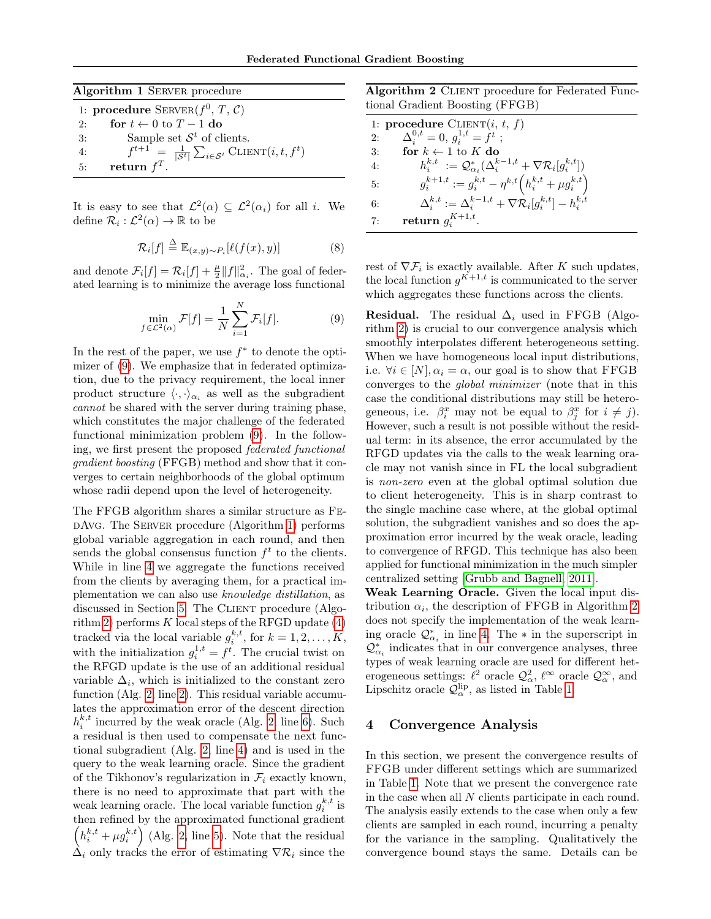<span id="page-3-1"></span>

| Algorithm 1 SERVER procedure |                                                                                           |  |  |  |  |  |  |
|------------------------------|-------------------------------------------------------------------------------------------|--|--|--|--|--|--|
|                              | 1: procedure $\text{SERVER}(f^0, T, \mathcal{C})$                                         |  |  |  |  |  |  |
| 2:                           | for $t \leftarrow 0$ to $T - 1$ do                                                        |  |  |  |  |  |  |
| 3:                           | Sample set $\mathcal{S}^t$ of clients.                                                    |  |  |  |  |  |  |
| 4:                           | $f^{t+1} = \frac{1}{ \mathcal{S}^t } \sum_{i \in \mathcal{S}^t} \text{CIIENT}(i, t, f^t)$ |  |  |  |  |  |  |
| 5:                           | return $f^T$ .                                                                            |  |  |  |  |  |  |

It is easy to see that  $\mathcal{L}^2(\alpha) \subseteq \mathcal{L}^2(\alpha_i)$  for all *i*. We define  $\mathcal{R}_i: \mathcal{L}^2(\alpha) \to \mathbb{R}$  to be

<span id="page-3-3"></span>
$$
\mathcal{R}_i[f] \stackrel{\Delta}{=} \mathbb{E}_{(x,y)\sim P_i}[\ell(f(x), y)] \tag{8}
$$

and denote  $\mathcal{F}_i[f] = \mathcal{R}_i[f] + \frac{\mu}{2} ||f||_{\alpha_i}^2$ . The goal of federated learning is to minimize the average loss functional

<span id="page-3-0"></span>
$$
\min_{f \in \mathcal{L}^2(\alpha)} \mathcal{F}[f] = \frac{1}{N} \sum_{i=1}^N \mathcal{F}_i[f]. \tag{9}
$$

In the rest of the paper, we use  $f^*$  to denote the optimizer of [\(9\)](#page-3-0). We emphasize that in federated optimization, due to the privacy requirement, the local inner product structure  $\langle \cdot, \cdot \rangle_{\alpha_i}$  as well as the subgradient cannot be shared with the server during training phase, which constitutes the major challenge of the federated functional minimization problem [\(9\)](#page-3-0). In the following, we first present the proposed federated functional gradient boosting (FFGB) method and show that it converges to certain neighborhoods of the global optimum whose radii depend upon the level of heterogeneity.

The FFGB algorithm shares a similar structure as FedAvg. The Server procedure (Algorithm [1\)](#page-3-1) performs global variable aggregation in each round, and then sends the global consensus function  $f<sup>t</sup>$  to the clients. While in line [4](#page-3-1) we aggregate the functions received from the clients by averaging them, for a practical implementation we can also use knowledge distillation, as discussed in Section [5.](#page-6-0) The Client procedure (Algo-rithm [2\)](#page-3-2) performs  $K$  local steps of the RFGD update  $(4)$ tracked via the local variable  $g_i^{k,t}$ , for  $k = 1, 2, ..., K$ , with the initialization  $g_i^{1,t} = f^t$ . The crucial twist on the RFGD update is the use of an additional residual variable  $\Delta_i$ , which is initialized to the constant zero function (Alg. [2,](#page-3-2) line [2\)](#page-3-2). This residual variable accumulates the approximation error of the descent direction  $h_i^{k,t}$  incurred by the weak oracle (Alg. [2,](#page-3-2) line [6\)](#page-3-2). Such a residual is then used to compensate the next functional subgradient (Alg. [2,](#page-3-2) line [4\)](#page-3-2) and is used in the query to the weak learning oracle. Since the gradient of the Tikhonov's regularization in  $\mathcal{F}_i$  exactly known, there is no need to approximate that part with the weak learning oracle. The local variable function  $g_i^{k,t}$  is then refined by the approximated functional gradient  $\left(h_i^{k,t} + \mu g_i^{k,t}\right)$  (Alg. [2,](#page-3-2) line [5\)](#page-3-2). Note that the residual  $\Delta_i$  only tracks the error of estimating  $\nabla \mathcal{R}_i$  since the

<span id="page-3-2"></span>Algorithm 2 CLIENT procedure for Federated Functional Gradient Boosting (FFGB)

|    | 1: <b>procedure</b> $CLIENT(i, t, f)$                                                       |
|----|---------------------------------------------------------------------------------------------|
| 2: | $\Delta_i^{0,t} = 0, q_i^{1,t} = f^t;$                                                      |
| 3: | for $k \leftarrow 1$ to K do                                                                |
| 4: | $h_i^{k,t} := \mathcal{Q}_{\alpha_i}^*(\Delta_i^{k-1,t} + \nabla \mathcal{R}_i[g_i^{k,t}])$ |
| 5: | $g_i^{k+1,t} := g_i^{k,t} - \eta^{k,t} \left( h_i^{k,t} + \mu g_i^{k,t} \right)$            |
| 6: | $\Delta_i^{k,t} := \Delta_i^{k-1,t} + \nabla \mathcal{R}_i[g_i^{k,t}] - h_i^{k,t}$          |
| 7: | return $g_i^{K+1,t}$ .                                                                      |

rest of  $\nabla \mathcal{F}_i$  is exactly available. After K such updates, the local function  $g^{K+1,t}$  is communicated to the server which aggregates these functions across the clients.

**Residual.** The residual  $\Delta_i$  used in FFGB (Algorithm [2\)](#page-3-2) is crucial to our convergence analysis which smoothly interpolates different heterogeneous setting. When we have homogeneous local input distributions, i.e.  $\forall i \in [N], \alpha_i = \alpha$ , our goal is to show that FFGB converges to the global minimizer (note that in this case the conditional distributions may still be heterogeneous, i.e.  $\beta_i^x$  may not be equal to  $\beta_j^x$  for  $i \neq j$ . However, such a result is not possible without the residual term: in its absence, the error accumulated by the RFGD updates via the calls to the weak learning oracle may not vanish since in FL the local subgradient is non-zero even at the global optimal solution due to client heterogeneity. This is in sharp contrast to the single machine case where, at the global optimal solution, the subgradient vanishes and so does the approximation error incurred by the weak oracle, leading to convergence of RFGD. This technique has also been applied for functional minimization in the much simpler centralized setting [\[Grubb and Bagnell, 2011\]](#page-9-11).

Weak Learning Oracle. Given the local input distribution  $\alpha_i$ , the description of FFGB in Algorithm [2](#page-3-2) does not specify the implementation of the weak learning oracle  $\mathcal{Q}_{\alpha_i}^*$  in line [4.](#page-3-2) The  $*$  in the superscript in  $\mathcal{Q}_{\alpha_{i}}^{*}$  indicates that in our convergence analyses, three types of weak learning oracle are used for different heterogeneous settings:  $\ell^2$  oracle  $\mathcal{Q}^2_\alpha$ ,  $\ell^\infty$  oracle  $\mathcal{Q}^\infty_\alpha$ , and Lipschitz oracle  $\mathcal{Q}_{\alpha}^{\text{lip}}$ , as listed in Table [1.](#page-4-0)

#### 4 Convergence Analysis

In this section, we present the convergence results of FFGB under different settings which are summarized in Table [1.](#page-4-0) Note that we present the convergence rate in the case when all  $N$  clients participate in each round. The analysis easily extends to the case when only a few clients are sampled in each round, incurring a penalty for the variance in the sampling. Qualitatively the convergence bound stays the same. Details can be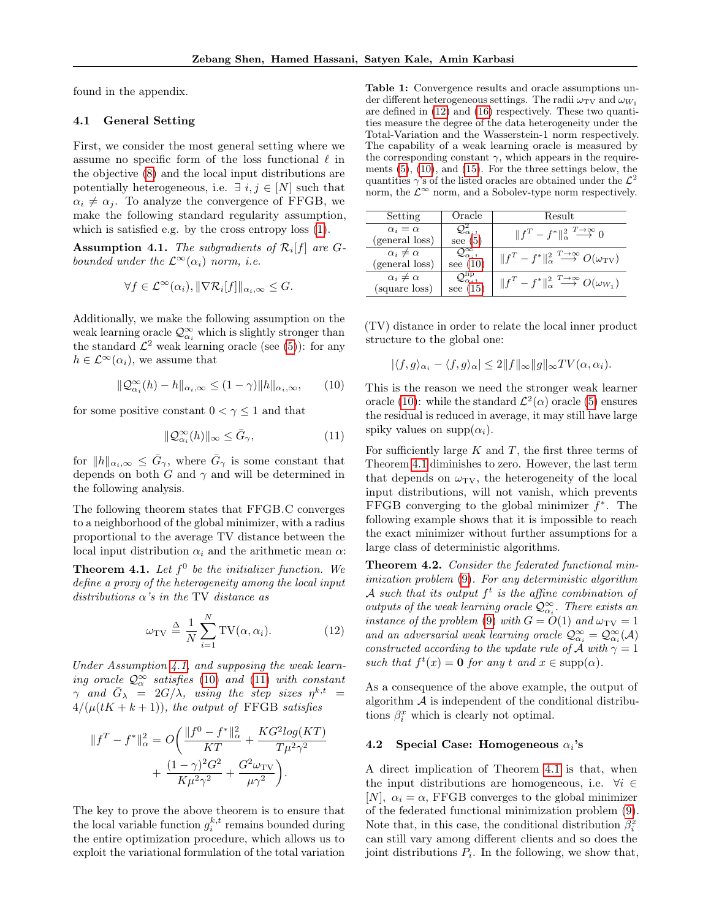found in the appendix.

### 4.1 General Setting

First, we consider the most general setting where we assume no specific form of the loss functional  $\ell$  in the objective [\(8\)](#page-3-3) and the local input distributions are potentially heterogeneous, i.e.  $\exists i, j \in [N]$  such that  $\alpha_i \neq \alpha_j$ . To analyze the convergence of FFGB, we make the following standard regularity assumption, which is satisfied e.g. by the cross entropy loss [\(1\)](#page-2-4).

<span id="page-4-1"></span>**Assumption 4.1.** The subgradients of  $\mathcal{R}_i[f]$  are Gbounded under the  $\mathcal{L}^{\infty}(\alpha_i)$  norm, i.e.

$$
\forall f \in \mathcal{L}^{\infty}(\alpha_i), \|\nabla \mathcal{R}_i[f]\|_{\alpha_i, \infty} \leq G.
$$

Additionally, we make the following assumption on the weak learning oracle  $\mathcal{Q}_{\alpha_i}^{\infty}$  which is slightly stronger than the standard  $\mathcal{L}^2$  weak learning oracle (see [\(5\)](#page-2-5)): for any  $h \in \mathcal{L}^{\infty}(\alpha_i)$ , we assume that

<span id="page-4-2"></span>
$$
\|\mathcal{Q}_{\alpha_i}^{\infty}(h) - h\|_{\alpha_i, \infty} \le (1 - \gamma) \|h\|_{\alpha_i, \infty}, \qquad (10)
$$

for some positive constant  $0 < \gamma \leq 1$  and that

<span id="page-4-3"></span>
$$
\|\mathcal{Q}_{\alpha_i}^{\infty}(h)\|_{\infty} \le \bar{G}_{\gamma},\tag{11}
$$

for  $||h||_{\alpha_i,\infty} \leq \overline{G}_{\gamma}$ , where  $\overline{G}_{\gamma}$  is some constant that depends on both  $G$  and  $\gamma$  and will be determined in the following analysis.

The following theorem states that FFGB.C converges to a neighborhood of the global minimizer, with a radius proportional to the average TV distance between the local input distribution  $\alpha_i$  and the arithmetic mean  $\alpha$ :

<span id="page-4-5"></span>**Theorem 4.1.** Let  $f^0$  be the initializer function. We define a proxy of the heterogeneity among the local input distributions  $\alpha$ 's in the TV distance as

<span id="page-4-4"></span>
$$
\omega_{\rm TV} \triangleq \frac{1}{N} \sum_{i=1}^{N} \text{TV}(\alpha, \alpha_i). \tag{12}
$$

Under Assumption [4.1,](#page-4-1) and supposing the weak learning oracle  $\mathcal{Q}_{\alpha}^{\infty}$  satisfies [\(10\)](#page-4-2) and [\(11\)](#page-4-3) with constant  $\gamma$  and  $\bar{G}_{\lambda} = 2G/\lambda$ , using the step sizes  $\eta^{k,t}$  =  $4/(\mu(tK + k + 1))$ , the output of FFGB satisfies

$$
||f^T - f^*||_{\alpha}^2 = O\left(\frac{||f^0 - f^*||_{\alpha}^2}{KT} + \frac{KG^2 log(KT)}{T\mu^2 \gamma^2} + \frac{(1 - \gamma)^2 G^2}{K\mu^2 \gamma^2} + \frac{G^2 \omega_{\text{TV}}}{\mu \gamma^2}\right).
$$

The key to prove the above theorem is to ensure that the local variable function  $g_i^{k,t}$  remains bounded during the entire optimization procedure, which allows us to exploit the variational formulation of the total variation

<span id="page-4-0"></span>Table 1: Convergence results and oracle assumptions under different heterogeneous settings. The radii  $\omega_{\text{TV}}$  and  $\omega_{W_1}$ are defined in [\(12\)](#page-4-4) and [\(16\)](#page-6-1) respectively. These two quantities measure the degree of the data heterogeneity under the Total-Variation and the Wasserstein-1 norm respectively. The capability of a weak learning oracle is measured by the corresponding constant  $\gamma$ , which appears in the requirements [\(5\)](#page-2-5), [\(10\)](#page-4-2), and [\(15\)](#page-5-0). For the three settings below, the quantities  $\gamma$ 's of the listed oracles are obtained under the  $\mathcal{L}^2$ norm, the  $\mathcal{L}^{\infty}$  norm, and a Sobolev-type norm respectively.

| Setting                                  | Oracle                                                   | Result                                                                                 |  |  |
|------------------------------------------|----------------------------------------------------------|----------------------------------------------------------------------------------------|--|--|
| $\alpha_i = \alpha$<br>(general loss)    | $\mathcal{Q}^2_{\alpha_i},$<br>see $(5)$                 | $  f^T - f^*  ^2_{\alpha} \stackrel{T \to \infty}{\longrightarrow} 0$                  |  |  |
| $\alpha_i \neq \alpha$<br>(general loss) | $\overline{\mathcal{Q}^\infty_{\alpha_i}}$<br>see $(10)$ | $  f^T - f^*  ^2_{\alpha} \stackrel{T \to \infty}{\longrightarrow} O(\omega_{\rm TV})$ |  |  |
| $\alpha_i \neq \alpha$<br>(square loss)  | $\mathcal{Q}^{\text{lip}}_{\alpha_i},$<br>see $(15)$     | $  f^T - f^*  _{\alpha}^2 \stackrel{T \to \infty}{\longrightarrow} O(\omega_{W_1})$    |  |  |

(TV) distance in order to relate the local inner product structure to the global one:

$$
|\langle f,g\rangle_{\alpha_i} - \langle f,g\rangle_{\alpha}| \le 2||f||_{\infty}||g||_{\infty}TV(\alpha,\alpha_i).
$$

This is the reason we need the stronger weak learner oracle [\(10\)](#page-4-2): while the standard  $\mathcal{L}^2(\alpha)$  oracle [\(5\)](#page-2-5) ensures the residual is reduced in average, it may still have large spiky values on  $\text{supp}(\alpha_i)$ .

For sufficiently large  $K$  and  $T$ , the first three terms of Theorem [4.1](#page-4-5) diminishes to zero. However, the last term that depends on  $\omega_{\text{TV}}$ , the heterogeneity of the local input distributions, will not vanish, which prevents FFGB converging to the global minimizer  $f^*$ . The following example shows that it is impossible to reach the exact minimizer without further assumptions for a large class of deterministic algorithms.

<span id="page-4-6"></span>Theorem 4.2. Consider the federated functional minimization problem [\(9\)](#page-3-0). For any deterministic algorithm A such that its output  $f^t$  is the affine combination of outputs of the weak learning oracle  $\mathcal{Q}^{\infty}_{\alpha_i}$ . There exists an instance of the problem [\(9\)](#page-3-0) with  $G = O(1)$  and  $\omega_{\text{TV}} = 1$ and an adversarial weak learning oracle  $\mathcal{Q}^{\infty}_{\alpha_i} = \mathcal{Q}^{\infty}_{\alpha_i}(\mathcal{A})$ constructed according to the update rule of A with  $\gamma = 1$ such that  $f^t(x) = \mathbf{0}$  for any t and  $x \in \text{supp}(\alpha)$ .

As a consequence of the above example, the output of algorithm  $\mathcal A$  is independent of the conditional distributions  $\beta_i^x$  which is clearly not optimal.

#### 4.2 Special Case: Homogeneous  $\alpha_i$ 's

A direct implication of Theorem [4.1](#page-4-5) is that, when the input distributions are homogeneous, i.e.  $\forall i \in$ [N],  $\alpha_i = \alpha$ , FFGB converges to the global minimizer of the federated functional minimization problem [\(9\)](#page-3-0). Note that, in this case, the conditional distribution  $\beta_i^x$ can still vary among different clients and so does the joint distributions  $P_i$ . In the following, we show that,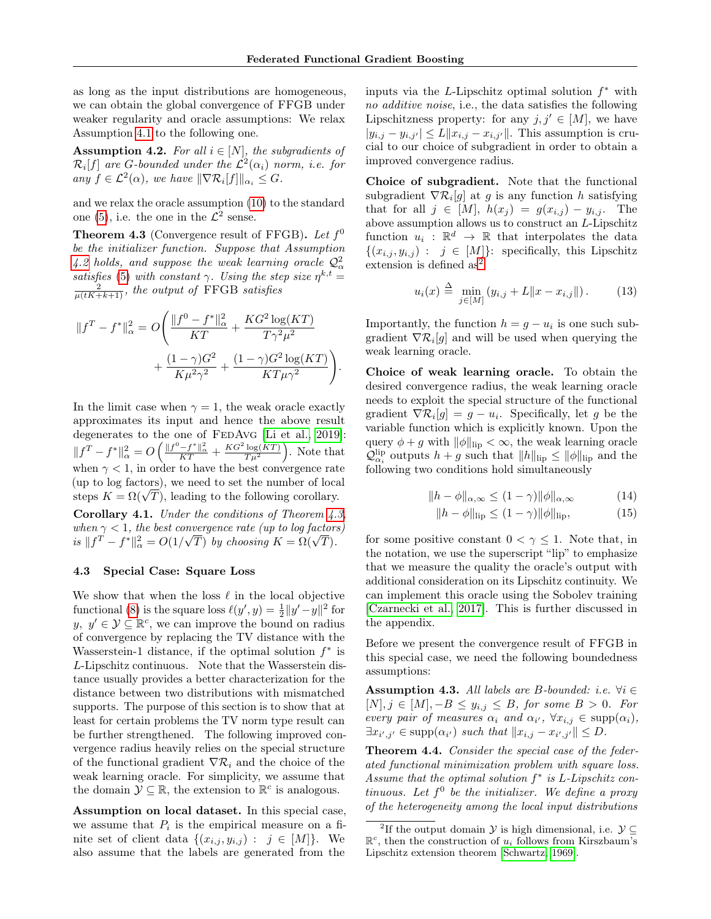as long as the input distributions are homogeneous, we can obtain the global convergence of FFGB under weaker regularity and oracle assumptions: We relax Assumption [4.1](#page-4-1) to the following one.

<span id="page-5-1"></span>**Assumption 4.2.** For all  $i \in [N]$ , the subgradients of  $\mathcal{R}_i[f]$  are G-bounded under the  $\mathcal{L}^2(\alpha_i)$  norm, i.e. for any  $f \in \mathcal{L}^2(\alpha)$ , we have  $\|\nabla \mathcal{R}_i[f]\|_{\alpha_i} \leq G$ .

and we relax the oracle assumption [\(10\)](#page-4-2) to the standard one [\(5\)](#page-2-5), i.e. the one in the  $\mathcal{L}^2$  sense.

<span id="page-5-2"></span>**Theorem 4.3** (Convergence result of FFGB). Let  $f^0$ be the initializer function. Suppose that Assumption [4.2](#page-5-1) holds, and suppose the weak learning oracle  $\mathcal{Q}^2_\alpha$ satisfies [\(5\)](#page-2-5) with constant  $\gamma$ . Using the step size  $\eta^{k,t} =$  $\frac{2}{\mu(tK+k+1)}$ , the output of FFGB satisfies

$$
||f^T - f^*||_{\alpha}^2 = O\left(\frac{||f^0 - f^*||_{\alpha}^2}{KT} + \frac{KG^2 \log(KT)}{T\gamma^2 \mu^2} + \frac{(1 - \gamma)G^2}{K\mu^2 \gamma^2} + \frac{(1 - \gamma)G^2 \log(KT)}{KT\mu\gamma^2}\right).
$$

In the limit case when  $\gamma = 1$ , the weak oracle exactly approximates its input and hence the above result degenerates to the one of FEDAvG [\[Li et al., 2019\]](#page-9-14):  $||f^T - f^*||^2_{\alpha} = O\left(\frac{||f^0 - f^*||^2_{\alpha}}{KT} + \frac{KG^2 \log(KT)}{T \mu^2}\right)$ . Note that when  $\gamma$  < 1, in order to have the best convergence rate (up to log factors), we need to set the number of local (up to log factors), we need to set the number of local<br>steps  $K = \Omega(\sqrt{T})$ , leading to the following corollary. **Corollary 4.1.** Under the conditions of Theorem  $\angle 4.3$ ,

when  $\gamma < 1$ , the best convergence rate (up to log factors) when  $\gamma < 1$ , the best convergence rate (up to log factor.<br>is  $\|f^T - f^*\|_\alpha^2 = O(1/\sqrt{T})$  by choosing  $K = \Omega(\sqrt{T})$ .

#### 4.3 Special Case: Square Loss

We show that when the loss  $\ell$  in the local objective functional [\(8\)](#page-3-3) is the square loss  $\ell(y', y) = \frac{1}{2} ||y' - y||^2$  for  $y, y' \in \mathcal{Y} \subseteq \mathbb{R}^c$ , we can improve the bound on radius of convergence by replacing the TV distance with the Wasserstein-1 distance, if the optimal solution  $f^*$  is L-Lipschitz continuous. Note that the Wasserstein distance usually provides a better characterization for the distance between two distributions with mismatched supports. The purpose of this section is to show that at least for certain problems the TV norm type result can be further strengthened. The following improved convergence radius heavily relies on the special structure of the functional gradient  $\nabla \mathcal{R}_i$  and the choice of the weak learning oracle. For simplicity, we assume that the domain  $\mathcal{Y} \subseteq \mathbb{R}$ , the extension to  $\mathbb{R}^c$  is analogous.

Assumption on local dataset. In this special case, we assume that  $P_i$  is the empirical measure on a finite set of client data  $\{(x_{i,j}, y_{i,j}) : j \in [M]\}.$  We also assume that the labels are generated from the

inputs via the  $L$ -Lipschitz optimal solution  $f^*$  with no additive noise, i.e., the data satisfies the following Lipschitzness property: for any  $j, j' \in [M]$ , we have  $|y_{i,j} - y_{i,j'}| \le L \|x_{i,j} - x_{i,j'}\|$ . This assumption is crucial to our choice of subgradient in order to obtain a improved convergence radius.

Choice of subgradient. Note that the functional subgradient  $\nabla \mathcal{R}_i[g]$  at g is any function h satisfying that for all  $j \in [M]$ ,  $h(x_j) = g(x_{i,j}) - y_{i,j}$ . The above assumption allows us to construct an L-Lipschitz function  $u_i : \mathbb{R}^d \to \mathbb{R}$  that interpolates the data  $\{(x_{i,j}, y_{i,j}) : j \in [M]\}$ : specifically, this Lipschitz extension is defined as<sup>[2](#page-5-3)</sup>

<span id="page-5-6"></span>
$$
u_i(x) \stackrel{\Delta}{=} \min_{j \in [M]} (y_{i,j} + L \|x - x_{i,j}\|). \tag{13}
$$

Importantly, the function  $h = g - u_i$  is one such subgradient  $\nabla \mathcal{R}_i[g]$  and will be used when querying the weak learning oracle.

Choice of weak learning oracle. To obtain the desired convergence radius, the weak learning oracle needs to exploit the special structure of the functional gradient  $\nabla \mathcal{R}_i[g] = g - u_i$ . Specifically, let g be the variable function which is explicitly known. Upon the query  $\phi + g$  with  $\|\phi\|_{\text{lip}} < \infty$ , the weak learning oracle  $\mathcal{Q}_{\alpha_i}^{\text{lip}}$  outputs  $h + g$  such that  $||h||_{\text{lip}} \le ||\phi||_{\text{lip}}$  and the following two conditions hold simultaneously

<span id="page-5-5"></span>
$$
||h - \phi||_{\alpha, \infty} \le (1 - \gamma) ||\phi||_{\alpha, \infty} \tag{14}
$$

<span id="page-5-0"></span>
$$
||h - \phi||_{\text{lip}} \le (1 - \gamma) ||\phi||_{\text{lip}}, \tag{15}
$$

for some positive constant  $0 < \gamma \leq 1$ . Note that, in the notation, we use the superscript "lip" to emphasize that we measure the quality the oracle's output with additional consideration on its Lipschitz continuity. We can implement this oracle using the Sobolev training [\[Czarnecki et al., 2017\]](#page-9-15). This is further discussed in the appendix.

Before we present the convergence result of FFGB in this special case, we need the following boundedness assumptions:

<span id="page-5-4"></span>Assumption 4.3. All labels are B-bounded: i.e.  $\forall i \in$  $[N], j \in [M], -B \le y_{i,j} \le B$ , for some  $B > 0$ . For every pair of measures  $\alpha_i$  and  $\alpha_{i'}$ ,  $\forall x_{i,j} \in \text{supp}(\alpha_i)$ ,  $\exists x_{i',j'} \in \text{supp}(\alpha_{i'}) \text{ such that } ||x_{i,j} - x_{i',j'}|| \leq D.$ 

<span id="page-5-7"></span>Theorem 4.4. Consider the special case of the federated functional minimization problem with square loss. Assume that the optimal solution  $f^*$  is L-Lipschitz continuous. Let  $f^0$  be the initializer. We define a proxy of the heterogeneity among the local input distributions

<span id="page-5-3"></span><sup>&</sup>lt;sup>2</sup>If the output domain  $\mathcal Y$  is high dimensional, i.e.  $\mathcal Y \subseteq$  $\mathbb{R}^c$ , then the construction of  $u_i$  follows from Kirszbaum's Lipschitz extension theorem [\[Schwartz, 1969\]](#page-9-16).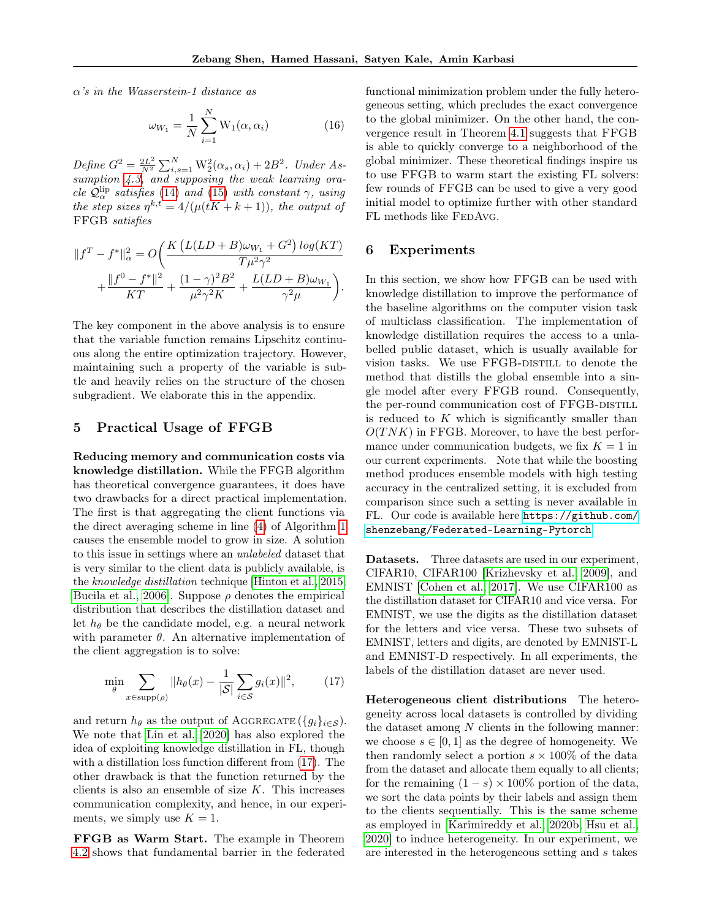$\alpha$ 's in the Wasserstein-1 distance as

<span id="page-6-1"></span>
$$
\omega_{W_1} = \frac{1}{N} \sum_{i=1}^{N} \mathcal{W}_1(\alpha, \alpha_i)
$$
 (16)

Define  $G^2 = \frac{2L^2}{N^2}$  $\frac{2L^2}{N^2} \sum_{i,s=1}^{N} W_2^2(\alpha_s, \alpha_i) + 2B^2$ . Under As-sumption [4.3,](#page-5-4) and supposing the weak learning oracle  $\mathcal{Q}_{\alpha}^{lip}$  satisfies [\(14\)](#page-5-5) and [\(15\)](#page-5-0) with constant  $\gamma$ , using the step sizes  $\eta^{k,t} = 4/(\mu(tK + k + 1)),$  the output of FFGB satisfies

$$
||f^T - f^*||_{\alpha}^2 = O\bigg(\frac{K(L(LD + B)\omega_{W_1} + G^2) \log(KT)}{T\mu^2 \gamma^2} + \frac{||f^0 - f^*||^2}{KT} + \frac{(1 - \gamma)^2 B^2}{\mu^2 \gamma^2 K} + \frac{L(LD + B)\omega_{W_1}}{\gamma^2 \mu}\bigg).
$$

The key component in the above analysis is to ensure that the variable function remains Lipschitz continuous along the entire optimization trajectory. However, maintaining such a property of the variable is subtle and heavily relies on the structure of the chosen subgradient. We elaborate this in the appendix.

### <span id="page-6-0"></span>5 Practical Usage of FFGB

Reducing memory and communication costs via knowledge distillation. While the FFGB algorithm has theoretical convergence guarantees, it does have two drawbacks for a direct practical implementation. The first is that aggregating the client functions via the direct averaging scheme in line [\(4\)](#page-3-1) of Algorithm [1](#page-3-1) causes the ensemble model to grow in size. A solution to this issue in settings where an unlabeled dataset that is very similar to the client data is publicly available, is the knowledge distillation technique [\[Hinton et al., 2015,](#page-9-17) Bucila et al., 2006. Suppose  $\rho$  denotes the empirical distribution that describes the distillation dataset and let  $h_{\theta}$  be the candidate model, e.g. a neural network with parameter  $\theta$ . An alternative implementation of the client aggregation is to solve:

<span id="page-6-2"></span>
$$
\min_{\theta} \sum_{x \in \text{supp}(\rho)} \|h_{\theta}(x) - \frac{1}{|\mathcal{S}|} \sum_{i \in \mathcal{S}} g_i(x)\|^2, \tag{17}
$$

and return  $h_{\theta}$  as the output of AGGREGATE ( ${g_i}_{i \in S}$ ). We note that [Lin et al.](#page-9-19) [\[2020\]](#page-9-19) has also explored the idea of exploiting knowledge distillation in FL, though with a distillation loss function different from [\(17\)](#page-6-2). The other drawback is that the function returned by the clients is also an ensemble of size  $K$ . This increases communication complexity, and hence, in our experiments, we simply use  $K = 1$ .

FFGB as Warm Start. The example in Theorem [4.2](#page-4-6) shows that fundamental barrier in the federated

functional minimization problem under the fully heterogeneous setting, which precludes the exact convergence to the global minimizer. On the other hand, the convergence result in Theorem [4.1](#page-4-5) suggests that FFGB is able to quickly converge to a neighborhood of the global minimizer. These theoretical findings inspire us to use FFGB to warm start the existing FL solvers: few rounds of FFGB can be used to give a very good initial model to optimize further with other standard FL methods like FEDAVG.

#### 6 Experiments

In this section, we show how FFGB can be used with knowledge distillation to improve the performance of the baseline algorithms on the computer vision task of multiclass classification. The implementation of knowledge distillation requires the access to a unlabelled public dataset, which is usually available for vision tasks. We use FFGB-DISTILL to denote the method that distills the global ensemble into a single model after every FFGB round. Consequently, the per-round communication cost of FFGB-DISTILL is reduced to  $K$  which is significantly smaller than  $O(TNK)$  in FFGB. Moreover, to have the best performance under communication budgets, we fix  $K = 1$  in our current experiments. Note that while the boosting method produces ensemble models with high testing accuracy in the centralized setting, it is excluded from comparison since such a setting is never available in FL. Our code is available here [https://github.com/](https://github.com/shenzebang/Federated-Learning-Pytorch) [shenzebang/Federated-Learning-Pytorch](https://github.com/shenzebang/Federated-Learning-Pytorch).

Datasets. Three datasets are used in our experiment, CIFAR10, CIFAR100 [\[Krizhevsky et al., 2009\]](#page-9-20), and EMNIST [\[Cohen et al., 2017\]](#page-9-21). We use CIFAR100 as the distillation dataset for CIFAR10 and vice versa. For EMNIST, we use the digits as the distillation dataset for the letters and vice versa. These two subsets of EMNIST, letters and digits, are denoted by EMNIST-L and EMNIST-D respectively. In all experiments, the labels of the distillation dataset are never used.

Heterogeneous client distributions The heterogeneity across local datasets is controlled by dividing the dataset among  $N$  clients in the following manner: we choose  $s \in [0, 1]$  as the degree of homogeneity. We then randomly select a portion  $s \times 100\%$  of the data from the dataset and allocate them equally to all clients; for the remaining  $(1-s) \times 100\%$  portion of the data, we sort the data points by their labels and assign them to the clients sequentially. This is the same scheme as employed in [\[Karimireddy et al., 2020b,](#page-9-6) [Hsu et al.,](#page-9-22) [2020\]](#page-9-22) to induce heterogeneity. In our experiment, we are interested in the heterogeneous setting and s takes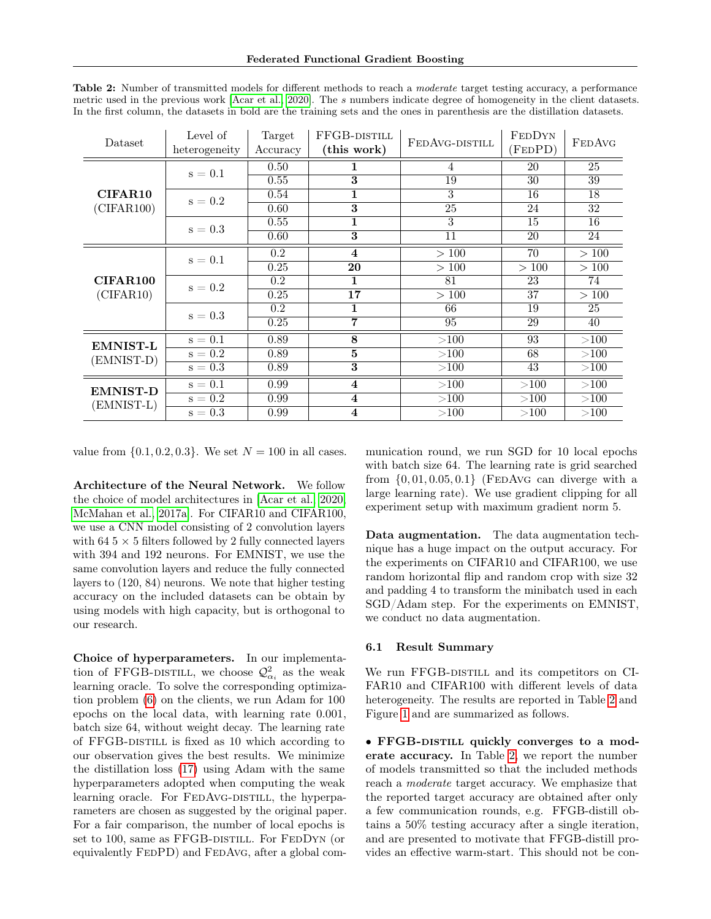| Dataset         | Level of<br>heterogeneity | Target<br>Accuracy | FFGB-DISTILL<br>(this work) | FEDAVG-DISTILL | <b>FEDDYN</b><br>(FEDPD) | <b>FEDAVG</b> |
|-----------------|---------------------------|--------------------|-----------------------------|----------------|--------------------------|---------------|
|                 | $s=0.1$                   | 0.50               | 1                           | 4              | 20                       | 25            |
|                 |                           | 0.55               | 3                           | 19             | 30                       | 39            |
| <b>CIFAR10</b>  | $s=0.2$                   | 0.54               | $\mathbf{1}$                | 3              | 16                       | 18            |
| (CIFAR100)      |                           | 0.60               | 3                           | 25             | 24                       | 32            |
|                 | $s=0.3$                   | 0.55               | $\mathbf{1}$                | 3              | 15                       | 16            |
|                 |                           | 0.60               | 3                           | 11             | 20                       | 24            |
|                 | $s=0.1$                   | $0.2\,$            | $\overline{\mathbf{4}}$     | >100           | 70                       | >100          |
|                 |                           | 0.25               | $20\,$                      | >100           | >100                     | >100          |
| <b>CIFAR100</b> | $s=0.2$                   | 0.2                | 1                           | 81             | 23                       | 74            |
| (CIFAR10)       |                           | 0.25               | 17                          | >100           | 37                       | >100          |
|                 | $s=0.3$                   | 0.2                | 1                           | 66             | 19                       | 25            |
|                 |                           | 0.25               | 7                           | 95             | 29                       | 40            |
| <b>EMNIST-L</b> | $s=0.1$                   | 0.89               | 8                           | >100           | 93                       | >100          |
| (EMNIST-D)      | $s=0.2$                   | 0.89               | $\overline{5}$              | >100           | 68                       | >100          |
|                 | $s=0.3$                   | 0.89               | 3                           | >100           | 43                       | >100          |
| <b>EMNIST-D</b> | $\rm s=0.1$               | 0.99               | $\overline{\mathbf{4}}$     | >100           | >100                     | >100          |
| (EMNIST-L)      | $s=0.2$                   | 0.99               | $\overline{\mathbf{4}}$     | >100           | >100                     | >100          |
|                 | $s = 0.3$                 | 0.99               | $\overline{\mathbf{4}}$     | >100           | >100                     | >100          |

<span id="page-7-0"></span>Table 2: Number of transmitted models for different methods to reach a moderate target testing accuracy, a performance metric used in the previous work [\[Acar et al., 2020\]](#page-8-0). The s numbers indicate degree of homogeneity in the client datasets. In the first column, the datasets in bold are the training sets and the ones in parenthesis are the distillation datasets.

value from  $\{0.1, 0.2, 0.3\}$ . We set  $N = 100$  in all cases.

Architecture of the Neural Network. We follow the choice of model architectures in [\[Acar et al., 2020,](#page-8-0) [McMahan et al., 2017a\]](#page-9-23). For CIFAR10 and CIFAR100, we use a CNN model consisting of 2 convolution layers with  $64.5 \times 5$  filters followed by 2 fully connected layers with 394 and 192 neurons. For EMNIST, we use the same convolution layers and reduce the fully connected layers to (120, 84) neurons. We note that higher testing accuracy on the included datasets can be obtain by using models with high capacity, but is orthogonal to our research.

Choice of hyperparameters. In our implementation of FFGB-DISTILL, we choose  $\mathcal{Q}^2_{\alpha_i}$  as the weak learning oracle. To solve the corresponding optimization problem [\(6\)](#page-2-6) on the clients, we run Adam for 100 epochs on the local data, with learning rate 0.001, batch size 64, without weight decay. The learning rate of FFGB-DISTILL is fixed as 10 which according to our observation gives the best results. We minimize the distillation loss [\(17\)](#page-6-2) using Adam with the same hyperparameters adopted when computing the weak learning oracle. For FEDAvG-DISTILL, the hyperparameters are chosen as suggested by the original paper. For a fair comparison, the number of local epochs is set to 100, same as FFGB-DISTILL. For FEDDYN (or equivalently FEDPD) and FEDAvG, after a global communication round, we run SGD for 10 local epochs with batch size 64. The learning rate is grid searched from  $\{0, 01, 0.05, 0.1\}$  (FEDAVG can diverge with a large learning rate). We use gradient clipping for all experiment setup with maximum gradient norm 5.

Data augmentation. The data augmentation technique has a huge impact on the output accuracy. For the experiments on CIFAR10 and CIFAR100, we use random horizontal flip and random crop with size 32 and padding 4 to transform the minibatch used in each SGD/Adam step. For the experiments on EMNIST, we conduct no data augmentation.

#### 6.1 Result Summary

We run FFGB-DISTILL and its competitors on CI-FAR10 and CIFAR100 with different levels of data heterogeneity. The results are reported in Table [2](#page-7-0) and Figure [1](#page-8-1) and are summarized as follows.

• FFGB-DISTILL quickly converges to a moderate accuracy. In Table [2,](#page-7-0) we report the number of models transmitted so that the included methods reach a moderate target accuracy. We emphasize that the reported target accuracy are obtained after only a few communication rounds, e.g. FFGB-distill obtains a 50% testing accuracy after a single iteration, and are presented to motivate that FFGB-distill provides an effective warm-start. This should not be con-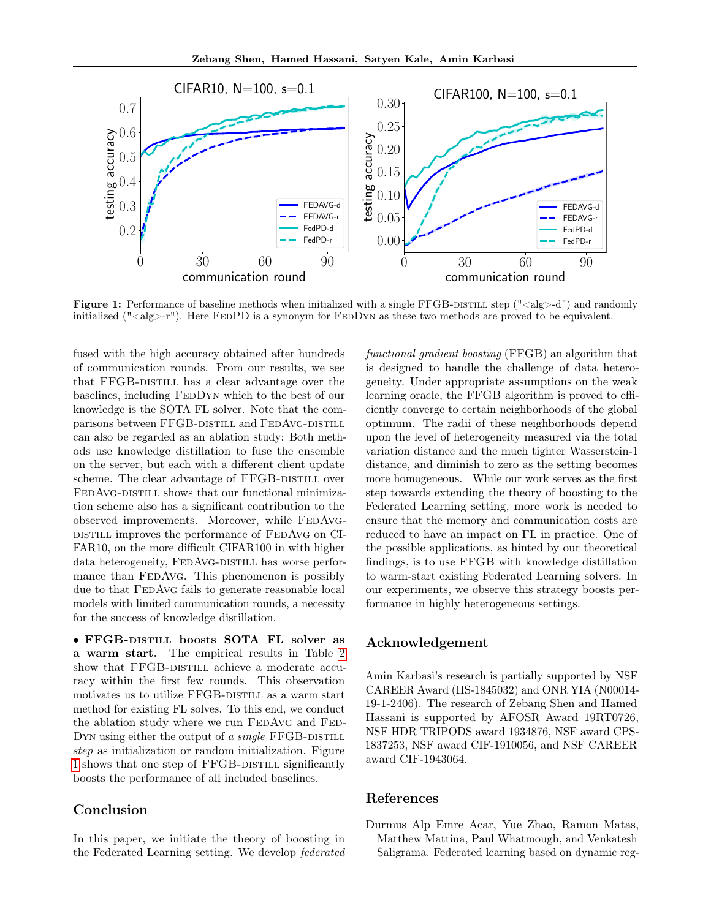<span id="page-8-1"></span>

Figure 1: Performance of baseline methods when initialized with a single FFGB-DISTILL step ( $\degree$ <alg>-d $\degree$ ) and randomly initialized (" $\langle \text{alg}\rangle$ -r"). Here FEDPD is a synonym for FEDDYN as these two methods are proved to be equivalent.

fused with the high accuracy obtained after hundreds of communication rounds. From our results, we see that FFGB-DISTILL has a clear advantage over the baselines, including FEDDYN which to the best of our knowledge is the SOTA FL solver. Note that the comparisons between FFGB-DISTILL and FEDAVG-DISTILL can also be regarded as an ablation study: Both methods use knowledge distillation to fuse the ensemble on the server, but each with a different client update scheme. The clear advantage of FFGB-DISTILL over FEDAVG-DISTILL shows that our functional minimization scheme also has a significant contribution to the observed improvements. Moreover, while FEDAVGdistill improves the performance of FedAvg on CI-FAR10, on the more difficult CIFAR100 in with higher data heterogeneity, FEDAVG-DISTILL has worse performance than FEDAvG. This phenomenon is possibly due to that FEDAvG fails to generate reasonable local models with limited communication rounds, a necessity for the success of knowledge distillation.

• FFGB-distill boosts SOTA FL solver as a warm start. The empirical results in Table [2](#page-7-0) show that FFGB-DISTILL achieve a moderate accuracy within the first few rounds. This observation motivates us to utilize FFGB-DISTILL as a warm start method for existing FL solves. To this end, we conduct the ablation study where we run FEDAVG and FED-DYN using either the output of a single FFGB-DISTILL step as initialization or random initialization. Figure [1](#page-8-1) shows that one step of FFGB-DISTILL significantly boosts the performance of all included baselines.

# Conclusion

In this paper, we initiate the theory of boosting in the Federated Learning setting. We develop federated functional gradient boosting (FFGB) an algorithm that is designed to handle the challenge of data heterogeneity. Under appropriate assumptions on the weak learning oracle, the FFGB algorithm is proved to efficiently converge to certain neighborhoods of the global optimum. The radii of these neighborhoods depend upon the level of heterogeneity measured via the total variation distance and the much tighter Wasserstein-1 distance, and diminish to zero as the setting becomes more homogeneous. While our work serves as the first step towards extending the theory of boosting to the Federated Learning setting, more work is needed to ensure that the memory and communication costs are reduced to have an impact on FL in practice. One of the possible applications, as hinted by our theoretical findings, is to use FFGB with knowledge distillation to warm-start existing Federated Learning solvers. In our experiments, we observe this strategy boosts performance in highly heterogeneous settings.

# Acknowledgement

Amin Karbasi's research is partially supported by NSF CAREER Award (IIS-1845032) and ONR YIA (N00014- 19-1-2406). The research of Zebang Shen and Hamed Hassani is supported by AFOSR Award 19RT0726, NSF HDR TRIPODS award 1934876, NSF award CPS-1837253, NSF award CIF-1910056, and NSF CAREER award CIF-1943064.

### References

<span id="page-8-0"></span>Durmus Alp Emre Acar, Yue Zhao, Ramon Matas, Matthew Mattina, Paul Whatmough, and Venkatesh Saligrama. Federated learning based on dynamic reg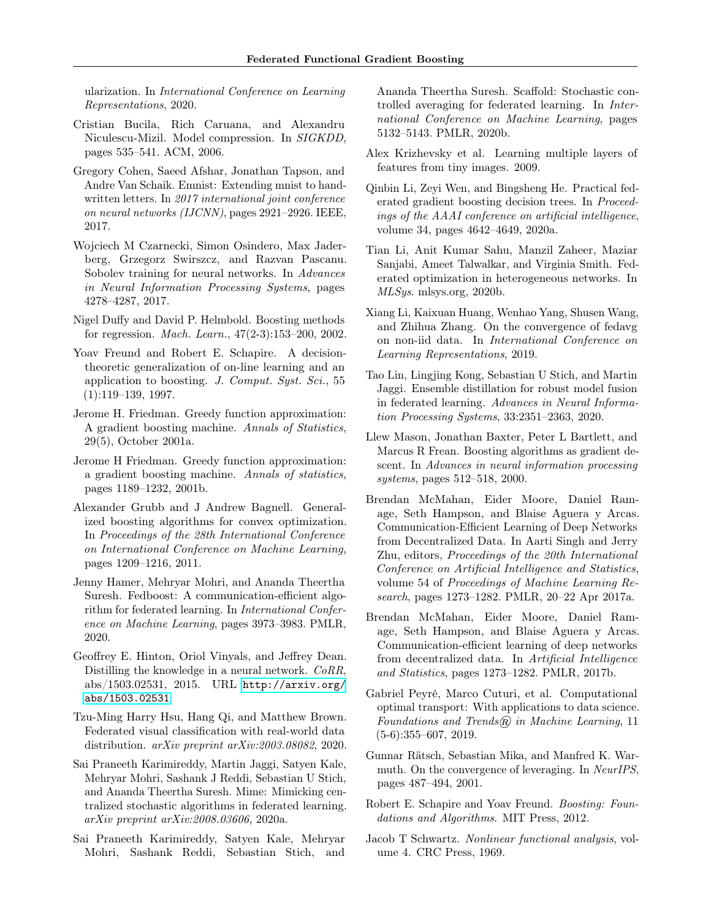ularization. In International Conference on Learning Representations, 2020.

- <span id="page-9-18"></span>Cristian Bucila, Rich Caruana, and Alexandru Niculescu-Mizil. Model compression. In SIGKDD, pages 535–541. ACM, 2006.
- <span id="page-9-21"></span>Gregory Cohen, Saeed Afshar, Jonathan Tapson, and Andre Van Schaik. Emnist: Extending mnist to handwritten letters. In 2017 international joint conference on neural networks (IJCNN), pages 2921–2926. IEEE, 2017.
- <span id="page-9-15"></span>Wojciech M Czarnecki, Simon Osindero, Max Jaderberg, Grzegorz Swirszcz, and Razvan Pascanu. Sobolev training for neural networks. In Advances in Neural Information Processing Systems, pages 4278–4287, 2017.
- <span id="page-9-9"></span>Nigel Duffy and David P. Helmbold. Boosting methods for regression. Mach. Learn., 47(2-3):153–200, 2002.
- <span id="page-9-4"></span>Yoav Freund and Robert E. Schapire. A decisiontheoretic generalization of on-line learning and an application to boosting. J. Comput. Syst. Sci., 55 (1):119–139, 1997.
- <span id="page-9-3"></span>Jerome H. Friedman. Greedy function approximation: A gradient boosting machine. Annals of Statistics, 29(5), October 2001a.
- <span id="page-9-5"></span>Jerome H Friedman. Greedy function approximation: a gradient boosting machine. Annals of statistics, pages 1189–1232, 2001b.
- <span id="page-9-11"></span>Alexander Grubb and J Andrew Bagnell. Generalized boosting algorithms for convex optimization. In Proceedings of the 28th International Conference on International Conference on Machine Learning, pages 1209–1216, 2011.
- <span id="page-9-13"></span>Jenny Hamer, Mehryar Mohri, and Ananda Theertha Suresh. Fedboost: A communication-efficient algorithm for federated learning. In International Conference on Machine Learning, pages 3973–3983. PMLR, 2020.
- <span id="page-9-17"></span>Geoffrey E. Hinton, Oriol Vinyals, and Jeffrey Dean. Distilling the knowledge in a neural network. CoRR, abs/1503.02531, 2015. URL [http://arxiv.org/](http://arxiv.org/abs/1503.02531) [abs/1503.02531](http://arxiv.org/abs/1503.02531).
- <span id="page-9-22"></span>Tzu-Ming Harry Hsu, Hang Qi, and Matthew Brown. Federated visual classification with real-world data distribution. arXiv preprint arXiv:2003.08082, 2020.
- <span id="page-9-8"></span>Sai Praneeth Karimireddy, Martin Jaggi, Satyen Kale, Mehryar Mohri, Sashank J Reddi, Sebastian U Stich, and Ananda Theertha Suresh. Mime: Mimicking centralized stochastic algorithms in federated learning. arXiv preprint arXiv:2008.03606, 2020a.
- <span id="page-9-6"></span>Sai Praneeth Karimireddy, Satyen Kale, Mehryar Mohri, Sashank Reddi, Sebastian Stich, and

Ananda Theertha Suresh. Scaffold: Stochastic controlled averaging for federated learning. In International Conference on Machine Learning, pages 5132–5143. PMLR, 2020b.

- <span id="page-9-20"></span>Alex Krizhevsky et al. Learning multiple layers of features from tiny images. 2009.
- <span id="page-9-12"></span>Qinbin Li, Zeyi Wen, and Bingsheng He. Practical federated gradient boosting decision trees. In Proceedings of the AAAI conference on artificial intelligence, volume 34, pages 4642–4649, 2020a.
- <span id="page-9-7"></span>Tian Li, Anit Kumar Sahu, Manzil Zaheer, Maziar Sanjabi, Ameet Talwalkar, and Virginia Smith. Federated optimization in heterogeneous networks. In MLSys. mlsys.org, 2020b.
- <span id="page-9-14"></span>Xiang Li, Kaixuan Huang, Wenhao Yang, Shusen Wang, and Zhihua Zhang. On the convergence of fedavg on non-iid data. In International Conference on Learning Representations, 2019.
- <span id="page-9-19"></span>Tao Lin, Lingjing Kong, Sebastian U Stich, and Martin Jaggi. Ensemble distillation for robust model fusion in federated learning. Advances in Neural Information Processing Systems, 33:2351–2363, 2020.
- <span id="page-9-2"></span>Llew Mason, Jonathan Baxter, Peter L Bartlett, and Marcus R Frean. Boosting algorithms as gradient descent. In Advances in neural information processing systems, pages 512–518, 2000.
- <span id="page-9-23"></span>Brendan McMahan, Eider Moore, Daniel Ramage, Seth Hampson, and Blaise Aguera y Arcas. Communication-Efficient Learning of Deep Networks from Decentralized Data. In Aarti Singh and Jerry Zhu, editors, Proceedings of the 20th International Conference on Artificial Intelligence and Statistics, volume 54 of Proceedings of Machine Learning Research, pages 1273–1282. PMLR, 20–22 Apr 2017a.
- <span id="page-9-0"></span>Brendan McMahan, Eider Moore, Daniel Ramage, Seth Hampson, and Blaise Aguera y Arcas. Communication-efficient learning of deep networks from decentralized data. In Artificial Intelligence and Statistics, pages 1273–1282. PMLR, 2017b.
- <span id="page-9-24"></span>Gabriel Peyré, Marco Cuturi, et al. Computational optimal transport: With applications to data science. Foundations and Trends $\left(\widehat{\mathbb{R}}\right)$  in Machine Learning, 11 (5-6):355–607, 2019.
- <span id="page-9-10"></span>Gunnar Rätsch, Sebastian Mika, and Manfred K. Warmuth. On the convergence of leveraging. In *NeurIPS*, pages 487–494, 2001.
- <span id="page-9-1"></span>Robert E. Schapire and Yoav Freund. Boosting: Foundations and Algorithms. MIT Press, 2012.
- <span id="page-9-16"></span>Jacob T Schwartz. Nonlinear functional analysis, volume 4. CRC Press, 1969.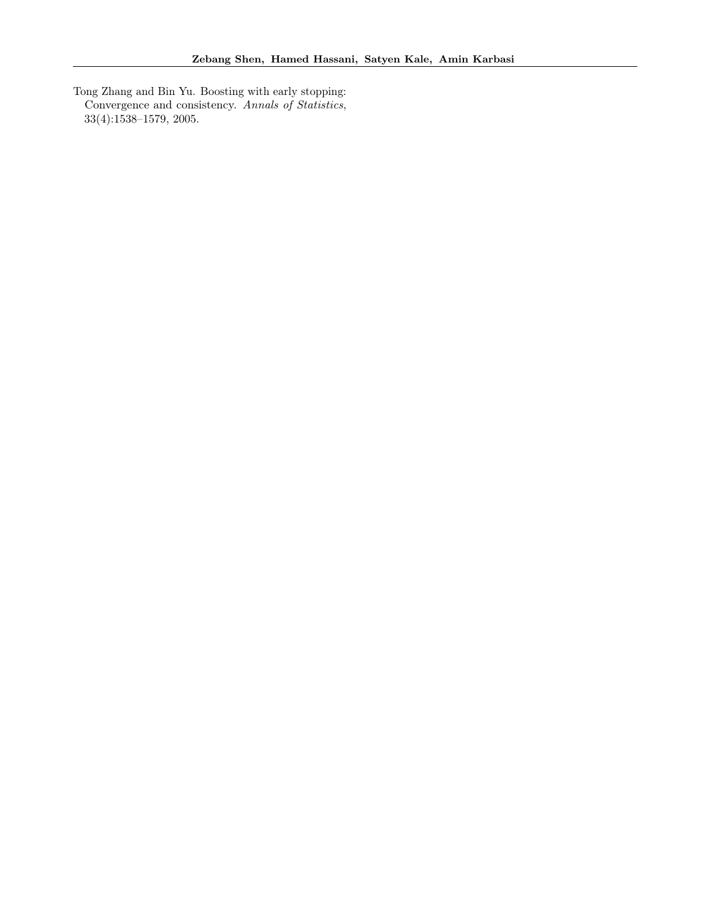<span id="page-10-0"></span>Tong Zhang and Bin Yu. Boosting with early stopping: Convergence and consistency. Annals of Statistics, 33(4):1538–1579, 2005.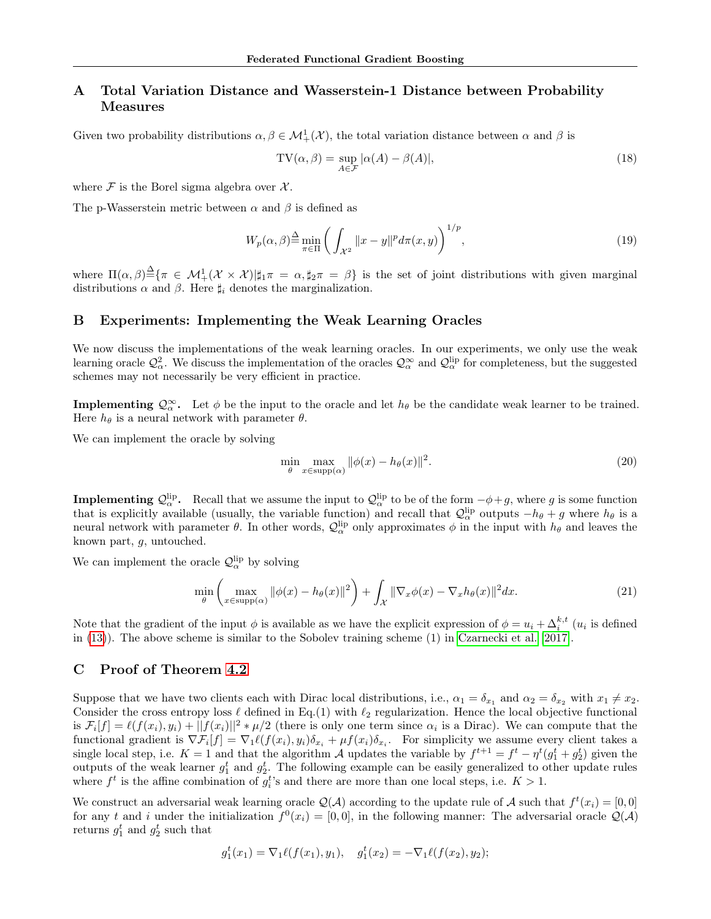# A Total Variation Distance and Wasserstein-1 Distance between Probability Measures

Given two probability distributions  $\alpha, \beta \in M^1_+(\mathcal{X})$ , the total variation distance between  $\alpha$  and  $\beta$  is

$$
TV(\alpha, \beta) = \sup_{A \in \mathcal{F}} |\alpha(A) - \beta(A)|,
$$
\n(18)

where  $\mathcal F$  is the Borel sigma algebra over  $\mathcal X$ .

The p-Wasserstein metric between  $\alpha$  and  $\beta$  is defined as

<span id="page-11-0"></span>
$$
W_p(\alpha, \beta) \stackrel{\Delta}{=} \min_{\pi \in \Pi} \left( \int_{\mathcal{X}^2} ||x - y||^p d\pi(x, y) \right)^{1/p},\tag{19}
$$

where  $\Pi(\alpha,\beta) \triangleq {\pi \in \mathcal{M}_{+}^{1}(\mathcal{X} \times \mathcal{X}) | \sharp_{1} \pi = \alpha, \sharp_{2} \pi = \beta}$  is the set of joint distributions with given marginal distributions  $\alpha$  and  $\beta$ . Here  $\sharp_i$  denotes the marginalization.

# B Experiments: Implementing the Weak Learning Oracles

We now discuss the implementations of the weak learning oracles. In our experiments, we only use the weak learning oracle  $\mathcal{Q}^2_\alpha$ . We discuss the implementation of the oracles  $\mathcal{Q}^\infty_\alpha$  and  $\mathcal{Q}^{\text{lip}}_\alpha$  for completeness, but the suggested schemes may not necessarily be very efficient in practice.

**Implementing**  $Q_{\alpha}^{\infty}$ . Let  $\phi$  be the input to the oracle and let  $h_{\theta}$  be the candidate weak learner to be trained. Here  $h_{\theta}$  is a neural network with parameter  $\theta$ .

We can implement the oracle by solving

$$
\min_{\theta} \max_{x \in \text{supp}(\alpha)} \|\phi(x) - h_{\theta}(x)\|^2. \tag{20}
$$

**Implementing**  $Q_{\alpha}^{lip}$ . Recall that we assume the input to  $Q_{\alpha}^{lip}$  to be of the form  $-\phi+g$ , where g is some function that is explicitly available (usually, the variable function) and recall that  $\mathcal{Q}_{\alpha}^{lip}$  outputs  $-h_{\theta}+g$  where  $h_{\theta}$  is a neural network with parameter  $\theta$ . In other words,  $\mathcal{Q}_{\alpha}^{lip}$  only approximates  $\phi$  in the input with  $h_{\theta}$  and leaves the known part, g, untouched.

We can implement the oracle  $\mathcal{Q}_{\alpha}^{\text{lip}}$  by solving

$$
\min_{\theta} \left( \max_{x \in \text{supp}(\alpha)} \|\phi(x) - h_{\theta}(x)\|^2 \right) + \int_{\mathcal{X}} \|\nabla_x \phi(x) - \nabla_x h_{\theta}(x)\|^2 dx. \tag{21}
$$

Note that the gradient of the input  $\phi$  is available as we have the explicit expression of  $\phi = u_i + \Delta_i^{k,t}$   $(u_i$  is defined in [\(13\)](#page-5-6)). The above scheme is similar to the Sobolev training scheme (1) in [Czarnecki et al.](#page-9-15) [\[2017\]](#page-9-15).

### C Proof of Theorem [4.2](#page-4-6)

Suppose that we have two clients each with Dirac local distributions, i.e.,  $\alpha_1 = \delta_{x_1}$  and  $\alpha_2 = \delta_{x_2}$  with  $x_1 \neq x_2$ . Consider the cross entropy loss  $\ell$  defined in Eq.(1) with  $\ell_2$  regularization. Hence the local objective functional is  $\mathcal{F}_i[f] = \ell(f(x_i), y_i) + ||f(x_i)||^2 * \mu/2$  (there is only one term since  $\alpha_i$  is a Dirac). We can compute that the functional gradient is  $\nabla \mathcal{F}_i[f] = \nabla_1 \ell(f(x_i), y_i) \delta_{x_i} + \mu f(x_i) \delta_{x_i}$ . For simplicity we assume every client takes a single local step, i.e.  $K = 1$  and that the algorithm A updates the variable by  $f^{t+1} = f^t - \eta^t (g_1^t + g_2^t)$  given the outputs of the weak learner  $g_1^t$  and  $g_2^t$ . The following example can be easily generalized to other update rules where  $f^t$  is the affine combination of  $g_i^t$ 's and there are more than one local steps, i.e.  $K > 1$ .

We construct an adversarial weak learning oracle  $\mathcal{Q}(\mathcal{A})$  according to the update rule of  $\mathcal{A}$  such that  $f^t(x_i) = [0,0]$ for any t and i under the initialization  $f^0(x_i) = [0,0]$ , in the following manner: The adversarial oracle  $\mathcal{Q}(\mathcal{A})$ returns  $g_1^t$  and  $g_2^t$  such that

$$
g_1^t(x_1) = \nabla_1 \ell(f(x_1), y_1), \quad g_1^t(x_2) = -\nabla_1 \ell(f(x_2), y_2);
$$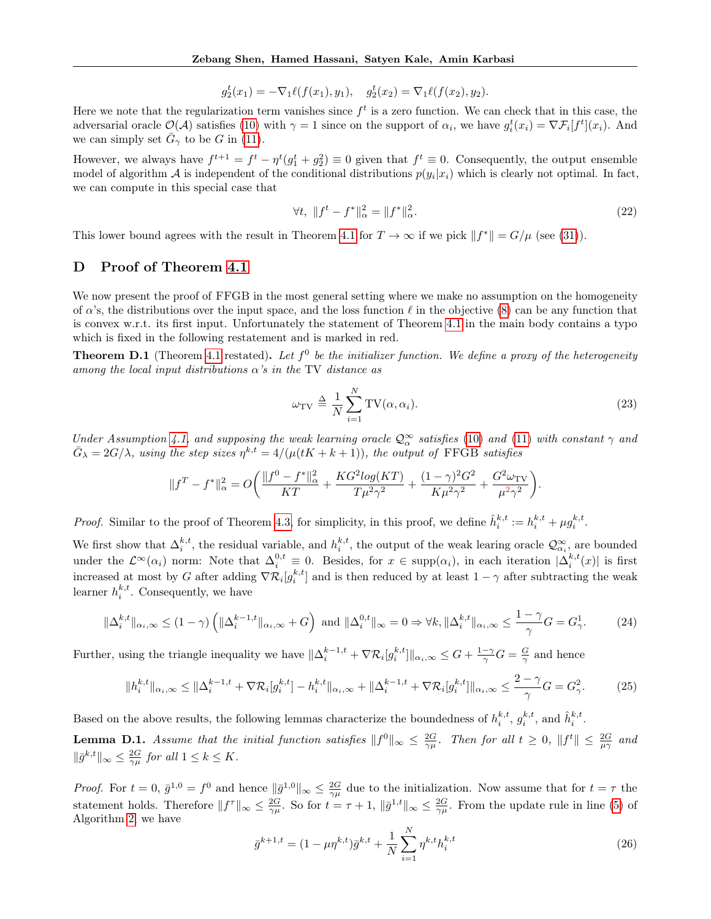$$
g_2^t(x_1) = -\nabla_1 \ell(f(x_1), y_1), \quad g_2^t(x_2) = \nabla_1 \ell(f(x_2), y_2).
$$

Here we note that the regularization term vanishes since  $f^t$  is a zero function. We can check that in this case, the adversarial oracle  $\mathcal{O}(\mathcal{A})$  satisfies [\(10\)](#page-4-2) with  $\gamma = 1$  since on the support of  $\alpha_i$ , we have  $g_i^t(x_i) = \nabla \mathcal{F}_i[f^t](x_i)$ . And we can simply set  $\bar{G}_{\gamma}$  to be G in [\(11\)](#page-4-3).

However, we always have  $f^{t+1} = f^t - \eta^t (g_1^t + g_2^2) \equiv 0$  given that  $f^t \equiv 0$ . Consequently, the output ensemble model of algorithm A is independent of the conditional distributions  $p(y_i|x_i)$  which is clearly not optimal. In fact, we can compute in this special case that

$$
\forall t, \ \|f^t - f^*\|_{\alpha}^2 = \|f^*\|_{\alpha}^2. \tag{22}
$$

This lower bound agrees with the result in Theorem [4.1](#page-4-5) for  $T \to \infty$  if we pick  $||f^*|| = G/\mu$  (see [\(31\)](#page-13-0)).

# D Proof of Theorem [4.1](#page-4-5)

We now present the proof of FFGB in the most general setting where we make no assumption on the homogeneity of  $\alpha$ 's, the distributions over the input space, and the loss function  $\ell$  in the objective [\(8\)](#page-3-3) can be any function that is convex w.r.t. its first input. Unfortunately the statement of Theorem [4.1](#page-4-5) in the main body contains a typo which is fixed in the following restatement and is marked in red.

**Theorem D.1** (Theorem [4.1](#page-4-5) restated). Let  $f^0$  be the initializer function. We define a proxy of the heterogeneity among the local input distributions  $\alpha$ 's in the TV distance as

$$
\omega_{\rm TV} \triangleq \frac{1}{N} \sum_{i=1}^{N} \text{TV}(\alpha, \alpha_i). \tag{23}
$$

Under Assumption [4.1,](#page-4-1) and supposing the weak learning oracle  $\mathcal{Q}_{\alpha}^{\infty}$  satisfies [\(10\)](#page-4-2) and [\(11\)](#page-4-3) with constant  $\gamma$  and  $\bar{G}_{\lambda} = 2G/\lambda$ , using the step sizes  $\eta^{k,t} = 4/(\mu(tK + k + 1))$ , the output of FFGB satisfies

$$
||f^T - f^*||_{\alpha}^2 = O\bigg(\frac{||f^0 - f^*||_{\alpha}^2}{KT} + \frac{KG^2 log(KT)}{T\mu^2 \gamma^2} + \frac{(1 - \gamma)^2 G^2}{K\mu^2 \gamma^2} + \frac{G^2 \omega_{\text{TV}}}{\mu^2 \gamma^2}\bigg).
$$

*Proof.* Similar to the proof of Theorem [4.3,](#page-5-2) for simplicity, in this proof, we define  $\hat{h}_i^{k,t} := h_i^{k,t} + \mu g_i^{k,t}$ .

We first show that  $\Delta_i^{k,t}$ , the residual variable, and  $h_i^{k,t}$ , the output of the weak learing oracle  $\mathcal{Q}^{\infty}_{\alpha_i}$ , are bounded under the  $\mathcal{L}^{\infty}(\alpha_i)$  norm: Note that  $\Delta_i^{0,t} \equiv 0$ . Besides, for  $x \in \text{supp}(\alpha_i)$ , in each iteration  $|\Delta_i^{k,t}(x)|$  is first increased at most by G after adding  $\nabla \mathcal{R}_i[g_i^{k,t}]$  and is then reduced by at least  $1-\gamma$  after subtracting the weak learner  $h_i^{k,t}$ . Consequently, we have

$$
\|\Delta_i^{k,t}\|_{\alpha_i,\infty} \le (1-\gamma) \left( \|\Delta_i^{k-1,t}\|_{\alpha_i,\infty} + G \right) \text{ and } \|\Delta_i^{0,t}\|_{\infty} = 0 \Rightarrow \forall k, \|\Delta_i^{k,t}\|_{\alpha_i,\infty} \le \frac{1-\gamma}{\gamma}G = G_{\gamma}^1. \tag{24}
$$

Further, using the triangle inequality we have  $\|\Delta_i^{k-1,t} + \nabla \mathcal{R}_i[g_i^{k,t}]\|_{\alpha_i,\infty} \leq G + \frac{1-\gamma}{\gamma}G = \frac{G}{\gamma}$  and hence

<span id="page-12-0"></span>
$$
\|h_i^{k,t}\|_{\alpha_i,\infty} \le \|\Delta_i^{k-1,t} + \nabla \mathcal{R}_i[g_i^{k,t}] - h_i^{k,t}\|_{\alpha_i,\infty} + \|\Delta_i^{k-1,t} + \nabla \mathcal{R}_i[g_i^{k,t}]\|_{\alpha_i,\infty} \le \frac{2-\gamma}{\gamma}G = G_\gamma^2. \tag{25}
$$

Based on the above results, the following lemmas characterize the boundedness of  $h_i^{k,t}$ ,  $g_i^{k,t}$ , and  $\hat{h}_i^{k,t}$ .

**Lemma D.1.** Assume that the initial function satisfies  $||f^0||_{\infty} \le \frac{2G}{\gamma \mu}$ . Then for all  $t \ge 0$ ,  $||f^t|| \le \frac{2G}{\mu \gamma}$  and  $\|\bar{g}^{k,t}\|_{\infty} \leq \frac{2G}{\gamma\mu}$  for all  $1 \leq k \leq K$ .

*Proof.* For  $t = 0$ ,  $\bar{g}^{1,0} = f^0$  and hence  $\|\bar{g}^{1,0}\|_{\infty} \leq \frac{2G}{\gamma\mu}$  due to the initialization. Now assume that for  $t = \tau$  the statement holds. Therefore  $||f^{\tau}||_{\infty} \leq \frac{2G}{\gamma \mu}$ . So for  $t = \tau + 1$ ,  $||\bar{g}^{1,t}||_{\infty} \leq \frac{2G}{\gamma \mu}$ . From the update rule in line [\(5\)](#page-3-2) of Algorithm [2,](#page-3-2) we have

$$
\bar{g}^{k+1,t} = (1 - \mu \eta^{k,t}) \bar{g}^{k,t} + \frac{1}{N} \sum_{i=1}^{N} \eta^{k,t} h_i^{k,t}
$$
\n(26)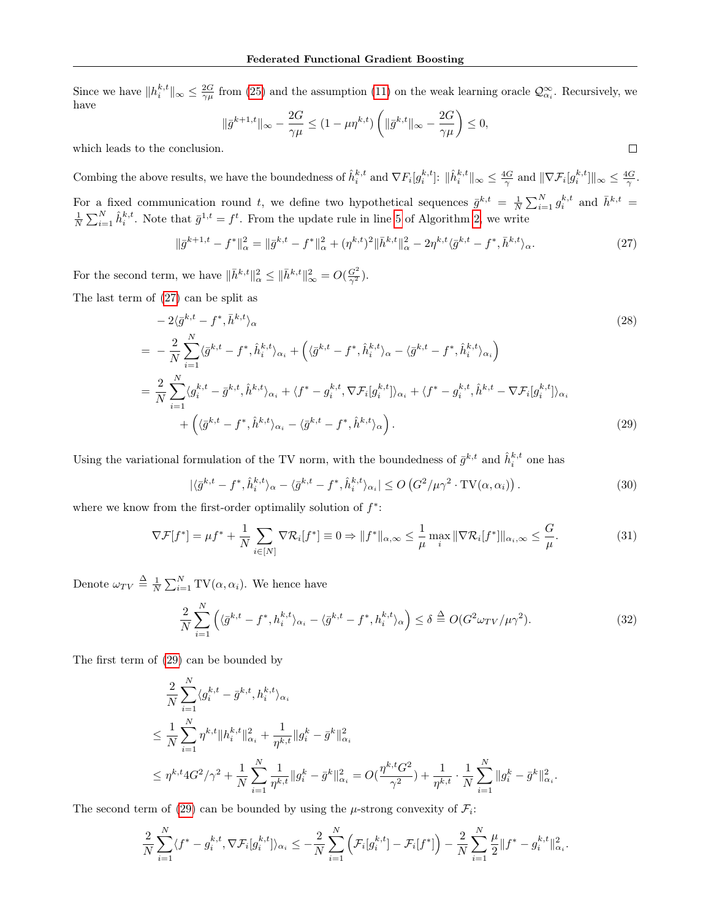Since we have  $||h_i^{k,t}||_{\infty} \leq \frac{2G}{\gamma \mu}$  from [\(25\)](#page-12-0) and the assumption [\(11\)](#page-4-3) on the weak learning oracle  $\mathcal{Q}^{\infty}_{\alpha_i}$ . Recursively, we have

$$
\|\bar{g}^{k+1,t}\|_{\infty} - \frac{2G}{\gamma\mu} \le (1 - \mu \eta^{k,t}) \left( \|\bar{g}^{k,t}\|_{\infty} - \frac{2G}{\gamma\mu} \right) \le 0,
$$

<span id="page-13-2"></span> $\Box$ 

which leads to the conclusion.

Combing the above results, we have the boundedness of  $\hat{h}_i^{k,t}$  and  $\nabla F_i[g_i^{k,t}]$ :  $\|\hat{h}_i^{k,t}\|_{\infty} \leq \frac{4G}{\gamma}$  and  $\|\nabla \mathcal{F}_i[g_i^{k,t}]\|_{\infty} \leq \frac{4G}{\gamma}$ . For a fixed communication round t, we define two hypothetical sequences  $\bar{g}^{k,t} = \frac{1}{N} \sum_{i=1}^{N} g_i^{k,t}$  and  $\bar{h}^{k,t} =$  $\frac{1}{N}\sum_{i=1}^N \hat{h}_i^{k,t}$ . Note that  $\bar{g}^{1,t} = f^t$ . From the update rule in line [5](#page-3-2) of Algorithm [2,](#page-3-2) we write

<span id="page-13-1"></span>
$$
\|\bar{g}^{k+1,t} - f^*\|_{\alpha}^2 = \|\bar{g}^{k,t} - f^*\|_{\alpha}^2 + (\eta^{k,t})^2 \|\bar{h}^{k,t}\|_{\alpha}^2 - 2\eta^{k,t}\langle \bar{g}^{k,t} - f^*, \bar{h}^{k,t}\rangle_{\alpha}.
$$
\n(27)

For the second term, we have  $\|\bar{h}^{k,t}\|_{\alpha}^2 \leq \|\bar{h}^{k,t}\|_{\infty}^2 = O(\frac{G^2}{\gamma^2}).$ 

The last term of [\(27\)](#page-13-1) can be split as

$$
-2\langle \bar{g}^{k,t} - f^*, \bar{h}^{k,t} \rangle_{\alpha}
$$
\n
$$
= -\frac{2}{N} \sum_{i=1}^{N} \langle \bar{g}^{k,t} - f^*, \hat{h}_i^{k,t} \rangle_{\alpha_i} + \left( \langle \bar{g}^{k,t} - f^*, \hat{h}_i^{k,t} \rangle_{\alpha} - \langle \bar{g}^{k,t} - f^*, \hat{h}_i^{k,t} \rangle_{\alpha_i} \right)
$$
\n
$$
= \frac{2}{N} \sum_{i=1}^{N} \langle g_i^{k,t} - \bar{g}^{k,t}, \hat{h}^{k,t} \rangle_{\alpha_i} + \langle f^* - g_i^{k,t}, \nabla \mathcal{F}_i[g_i^{k,t}] \rangle_{\alpha_i} + \langle f^* - g_i^{k,t}, \hat{h}^{k,t} - \nabla \mathcal{F}_i[g_i^{k,t}] \rangle_{\alpha_i}
$$
\n
$$
+ \left( \langle \bar{g}^{k,t} - f^*, \hat{h}^{k,t} \rangle_{\alpha_i} - \langle \bar{g}^{k,t} - f^*, \hat{h}^{k,t} \rangle_{\alpha} \right).
$$
\n(29)

Using the variational formulation of the TV norm, with the boundedness of  $\bar{g}^{k,t}$  and  $\hat{h}^{k,t}_i$  one has

$$
|\langle \bar{g}^{k,t} - f^*, \hat{h}_i^{k,t} \rangle_{\alpha} - \langle \bar{g}^{k,t} - f^*, \hat{h}_i^{k,t} \rangle_{\alpha_i}| \le O\left(G^2/\mu\gamma^2 \cdot \text{TV}(\alpha, \alpha_i)\right). \tag{30}
$$

where we know from the first-order optimalily solution of  $f^*$ :

<span id="page-13-0"></span>
$$
\nabla \mathcal{F}[f^*] = \mu f^* + \frac{1}{N} \sum_{i \in [N]} \nabla \mathcal{R}_i[f^*] \equiv 0 \Rightarrow \|f^*\|_{\alpha,\infty} \le \frac{1}{\mu} \max_i \|\nabla \mathcal{R}_i[f^*]\|_{\alpha_i,\infty} \le \frac{G}{\mu}.
$$
 (31)

Denote  $\omega_{TV} \triangleq \frac{1}{N} \sum_{i=1}^{N} \text{TV}(\alpha, \alpha_i)$ . We hence have

$$
\frac{2}{N} \sum_{i=1}^{N} \left( \langle \bar{g}^{k,t} - f^*, h_i^{k,t} \rangle_{\alpha_i} - \langle \bar{g}^{k,t} - f^*, h_i^{k,t} \rangle_{\alpha} \right) \le \delta \stackrel{\Delta}{=} O(G^2 \omega_{TV} / \mu \gamma^2). \tag{32}
$$

The first term of [\(29\)](#page-13-2) can be bounded by

$$
\begin{split}\n&\frac{2}{N}\sum_{i=1}^N \langle g_i^{k,t} - \bar{g}^{k,t}, h_i^{k,t} \rangle_{\alpha_i} \\
&\leq \frac{1}{N}\sum_{i=1}^N \eta^{k,t} \|h_i^{k,t}\|_{\alpha_i}^2 + \frac{1}{\eta^{k,t}} \|g_i^k - \bar{g}^k\|_{\alpha_i}^2 \\
&\leq \eta^{k,t} 4G^2/\gamma^2 + \frac{1}{N}\sum_{i=1}^N \frac{1}{\eta^{k,t}} \|g_i^k - \bar{g}^k\|_{\alpha_i}^2 = O(\frac{\eta^{k,t} G^2}{\gamma^2}) + \frac{1}{\eta^{k,t}} \cdot \frac{1}{N} \sum_{i=1}^N \|g_i^k - \bar{g}^k\|_{\alpha_i}^2.\n\end{split}
$$

The second term of [\(29\)](#page-13-2) can be bounded by using the  $\mu$ -strong convexity of  $\mathcal{F}_i$ :

$$
\frac{2}{N}\sum_{i=1}^N \langle f^* - g_i^{k,t}, \nabla \mathcal{F}_i[g_i^{k,t}] \rangle_{\alpha_i} \leq -\frac{2}{N}\sum_{i=1}^N \left( \mathcal{F}_i[g_i^{k,t}] - \mathcal{F}_i[f^*] \right) - \frac{2}{N}\sum_{i=1}^N \frac{\mu}{2} \| f^* - g_i^{k,t} \|_{\alpha_i}^2.
$$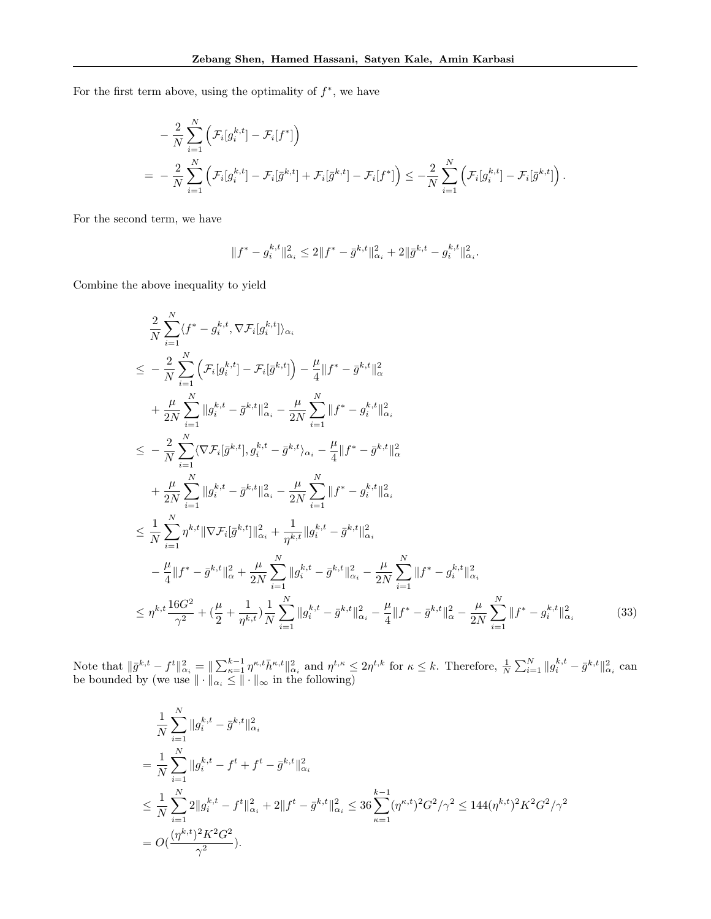For the first term above, using the optimality of  $f^*$ , we have

$$
- \frac{2}{N} \sum_{i=1}^{N} \left( \mathcal{F}_i[g_i^{k,t}] - \mathcal{F}_i[f^*] \right)
$$
  
= 
$$
- \frac{2}{N} \sum_{i=1}^{N} \left( \mathcal{F}_i[g_i^{k,t}] - \mathcal{F}_i[\bar{g}^{k,t}] + \mathcal{F}_i[\bar{g}^{k,t}] - \mathcal{F}_i[f^*] \right) \leq - \frac{2}{N} \sum_{i=1}^{N} \left( \mathcal{F}_i[g_i^{k,t}] - \mathcal{F}_i[\bar{g}^{k,t}] \right).
$$

For the second term, we have

$$
||f^* - g_i^{k,t}||_{\alpha_i}^2 \le 2||f^* - \bar{g}^{k,t}||_{\alpha_i}^2 + 2||\bar{g}^{k,t} - g_i^{k,t}||_{\alpha_i}^2.
$$

Combine the above inequality to yield

$$
\frac{2}{N} \sum_{i=1}^{N} \langle f^* - g_i^{k,t}, \nabla \mathcal{F}_i[g_i^{k,t}] \rangle_{\alpha_i}
$$
\n
$$
\leq -\frac{2}{N} \sum_{i=1}^{N} \left( \mathcal{F}_i[g_i^{k,t}] - \mathcal{F}_i[\bar{g}^{k,t}] \right) - \frac{\mu}{4} ||f^* - \bar{g}^{k,t}||_{\alpha}^2 + \frac{\mu}{2N} \sum_{i=1}^{N} ||g_i^{k,t} - \bar{g}^{k,t}||_{\alpha_i}^2 - \frac{\mu}{2N} \sum_{i=1}^{N} ||f^* - g_i^{k,t}||_{\alpha_i}^2
$$
\n
$$
\leq -\frac{2}{N} \sum_{i=1}^{N} \langle \nabla \mathcal{F}_i[\bar{g}^{k,t}], g_i^{k,t} - \bar{g}^{k,t} \rangle_{\alpha_i} - \frac{\mu}{4} ||f^* - \bar{g}^{k,t}||_{\alpha}^2
$$
\n
$$
+ \frac{\mu}{2N} \sum_{i=1}^{N} ||g_i^{k,t} - \bar{g}^{k,t}||_{\alpha_i}^2 - \frac{\mu}{2N} \sum_{i=1}^{N} ||f^* - g_i^{k,t}||_{\alpha_i}^2
$$
\n
$$
\leq \frac{1}{N} \sum_{i=1}^{N} \eta^{k,t} ||\nabla \mathcal{F}_i[\bar{g}^{k,t}]||_{\alpha_i}^2 + \frac{1}{\eta^{k,t}} ||g_i^{k,t} - \bar{g}^{k,t}||_{\alpha_i}^2
$$
\n
$$
- \frac{\mu}{4} ||f^* - \bar{g}^{k,t}||_{\alpha}^2 + \frac{\mu}{2N} \sum_{i=1}^{N} ||g_i^{k,t} - \bar{g}^{k,t}||_{\alpha_i}^2 - \frac{\mu}{2N} \sum_{i=1}^{N} ||f^* - g_i^{k,t}||_{\alpha_i}^2
$$
\n
$$
\leq \eta^{k,t} \frac{16G^2}{\gamma^2} + (\frac{\mu}{2} + \frac{1}{\eta^{k,t}}) \frac{1}{N} \sum_{i=1}^{N} ||g_i^{k,t} - \bar{g}^{k,t}||_{\alpha_i}^2 - \frac{\mu}{4} ||f^* - \bar{g}
$$

Note that  $\|\bar{g}^{k,t} - f^t\|_{\alpha_i}^2 = \|\sum_{\kappa=1}^{k-1} \eta^{\kappa,t} \bar{h}^{\kappa,t} \|_{\alpha_i}^2$  and  $\eta^{t,\kappa} \leq 2\eta^{t,k}$  for  $\kappa \leq k$ . Therefore,  $\frac{1}{N} \sum_{i=1}^N \|g_i^{k,t} - \bar{g}^{k,t}\|_{\alpha_i}^2$  can be bounded by (we use  $\|\cdot\|_{\alpha_i} \leq \|\cdot\|_{\infty}$  in the following)

<span id="page-14-0"></span>
$$
\frac{1}{N} \sum_{i=1}^{N} \|g_i^{k,t} - \bar{g}^{k,t}\|_{\alpha_i}^2
$$
\n
$$
= \frac{1}{N} \sum_{i=1}^{N} \|g_i^{k,t} - f^t + f^t - \bar{g}^{k,t}\|_{\alpha_i}^2
$$
\n
$$
\leq \frac{1}{N} \sum_{i=1}^{N} 2 \|g_i^{k,t} - f^t\|_{\alpha_i}^2 + 2 \|f^t - \bar{g}^{k,t}\|_{\alpha_i}^2 \leq 36 \sum_{\kappa=1}^{k-1} (\eta^{\kappa,t})^2 G^2 / \gamma^2 \leq 144 (\eta^{k,t})^2 K^2 G^2 / \gamma^2
$$
\n
$$
= O\left(\frac{(\eta^{k,t})^2 K^2 G^2}{\gamma^2}\right).
$$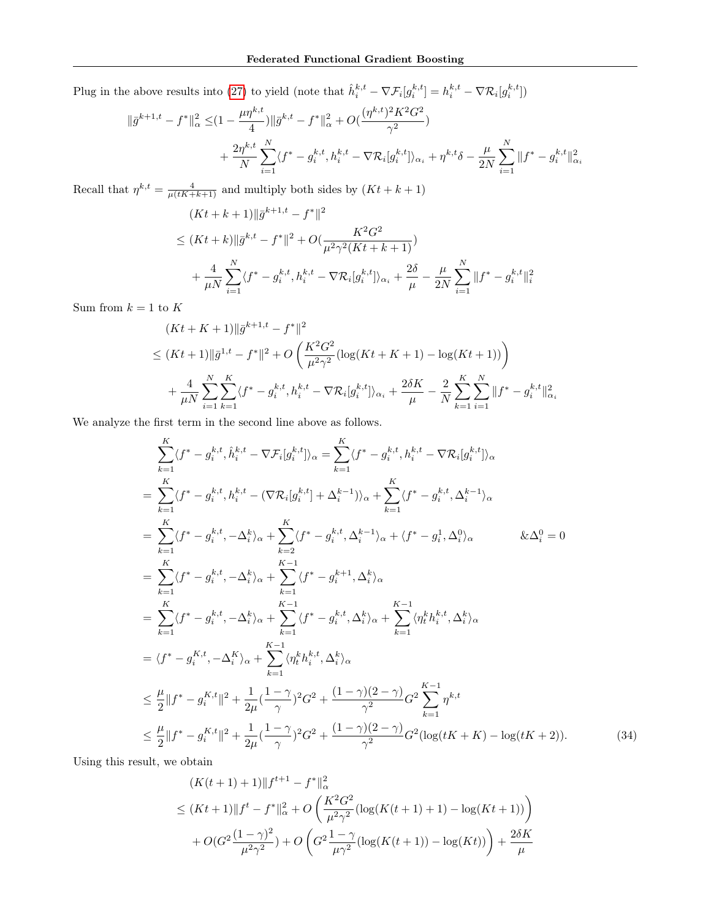Plug in the above results into [\(27\)](#page-13-1) to yield (note that  $\hat{h}_i^{k,t} - \nabla \mathcal{F}_i[g_i^{k,t}] = h_i^{k,t} - \nabla \mathcal{R}_i[g_i^{k,t}]$ )

$$
\begin{aligned} \|\bar{g}^{k+1,t} - f^*\|_{\alpha}^2 &\leq & (1 - \frac{\mu \eta^{k,t}}{4}) \|\bar{g}^{k,t} - f^*\|_{\alpha}^2 + O\left(\frac{(\eta^{k,t})^2 K^2 G^2}{\gamma^2}\right) \\ &+ \frac{2\eta^{k,t}}{N} \sum_{i=1}^N \langle f^* - g_i^{k,t}, h_i^{k,t} - \nabla \mathcal{R}_i[g_i^{k,t}] \rangle_{\alpha_i} + \eta^{k,t} \delta - \frac{\mu}{2N} \sum_{i=1}^N \|f^* - g_i^{k,t}\|_{\alpha_i}^2 \end{aligned}
$$

Recall that  $\eta^{k,t} = \frac{4}{\mu(tK+k+1)}$  and multiply both sides by  $(Kt + k + 1)$ 

$$
(Kt + k + 1) \|\bar{g}^{k+1,t} - f^*\|^2
$$
  
\n
$$
\leq (Kt + k) \|\bar{g}^{k,t} - f^*\|^2 + O(\frac{K^2 G^2}{\mu^2 \gamma^2 (Kt + k + 1)})
$$
  
\n
$$
+ \frac{4}{\mu N} \sum_{i=1}^N \langle f^* - g_i^{k,t}, h_i^{k,t} - \nabla \mathcal{R}_i[g_i^{k,t}] \rangle_{\alpha_i} + \frac{2\delta}{\mu} - \frac{\mu}{2N} \sum_{i=1}^N \|f^* - g_i^{k,t}\|_i^2
$$

Sum from  $k = 1$  to K

$$
(Kt + K + 1) \|\bar{g}^{k+1,t} - f^*\|^2
$$
  
\n
$$
\leq (Kt + 1) \|\bar{g}^{1,t} - f^*\|^2 + O\left(\frac{K^2 G^2}{\mu^2 \gamma^2} (\log(Kt + K + 1) - \log(Kt + 1))\right)
$$
  
\n
$$
+ \frac{4}{\mu N} \sum_{i=1}^N \sum_{k=1}^K \langle f^* - g_i^{k,t}, h_i^{k,t} - \nabla \mathcal{R}_i[g_i^{k,t}] \rangle_{\alpha_i} + \frac{2\delta K}{\mu} - \frac{2}{N} \sum_{k=1}^K \sum_{i=1}^N \|f^* - g_i^{k,t}\|_{\alpha_i}^2
$$

We analyze the first term in the second line above as follows.

$$
\sum_{k=1}^{K} \langle f^* - g_i^{k,t}, \hat{h}_i^{k,t} - \nabla \mathcal{F}_i[g_i^{k,t}] \rangle_{\alpha} = \sum_{k=1}^{K} \langle f^* - g_i^{k,t}, h_i^{k,t} - \nabla \mathcal{R}_i[g_i^{k,t}] \rangle_{\alpha}
$$
\n
$$
= \sum_{k=1}^{K} \langle f^* - g_i^{k,t}, h_i^{k,t} - (\nabla \mathcal{R}_i[g_i^{k,t}] + \Delta_i^{k-1}) \rangle_{\alpha} + \sum_{k=1}^{K} \langle f^* - g_i^{k,t}, \Delta_i^{k-1} \rangle_{\alpha}
$$
\n
$$
= \sum_{k=1}^{K} \langle f^* - g_i^{k,t}, -\Delta_i^{k} \rangle_{\alpha} + \sum_{k=2}^{K-1} \langle f^* - g_i^{k,t}, \Delta_i^{k-1} \rangle_{\alpha} + \langle f^* - g_i^1, \Delta_i^0 \rangle_{\alpha}
$$
\n
$$
\& \Delta_i^0 = 0
$$
\n
$$
= \sum_{k=1}^{K} \langle f^* - g_i^{k,t}, -\Delta_i^k \rangle_{\alpha} + \sum_{k=1}^{K-1} \langle f^* - g_i^{k,t}, \Delta_i^k \rangle_{\alpha}
$$
\n
$$
= \sum_{k=1}^{K} \langle f^* - g_i^{k,t}, -\Delta_i^k \rangle_{\alpha} + \sum_{k=1}^{K-1} \langle f^* - g_i^{k,t}, \Delta_i^k \rangle_{\alpha} + \sum_{k=1}^{K-1} \langle \eta_i^k h_i^{k,t}, \Delta_i^k \rangle_{\alpha}
$$
\n
$$
\leq \frac{\mu}{2} \| f^* - g_i^{K,t} \|^{2} + \frac{1}{2\mu} (\frac{1 - \gamma}{\gamma})^{2} G^{2} + \frac{(1 - \gamma)(2 - \gamma)}{\gamma^{2}} G^{2} \sum_{k=1}^{K-1} \eta^{k,t}
$$
\n
$$
\leq \frac{\mu}{2} \| f^* - g_i^{K,t} \|^{2} + \frac{1}{2\mu} (\frac{1 - \gamma}{\gamma})^{2} G^{2} + \frac{(1 - \gamma)(2 - \gamma)}{\gamma^{2}} G^{2} (\log(tK + K) - \log(tK + 2)).
$$

<span id="page-15-0"></span> $(34)$ 

Using this result, we obtain

$$
(K(t+1) + 1) \| f^{t+1} - f^* \|_{\alpha}^2
$$
  
\n
$$
\leq (Kt+1) \| f^t - f^* \|_{\alpha}^2 + O\left(\frac{K^2 G^2}{\mu^2 \gamma^2} (\log(K(t+1) + 1) - \log(Kt+1))\right)
$$
  
\n
$$
+ O(G^2 \frac{(1-\gamma)^2}{\mu^2 \gamma^2}) + O\left(G^2 \frac{1-\gamma}{\mu \gamma^2} (\log(K(t+1)) - \log(Kt))\right) + \frac{2\delta K}{\mu}
$$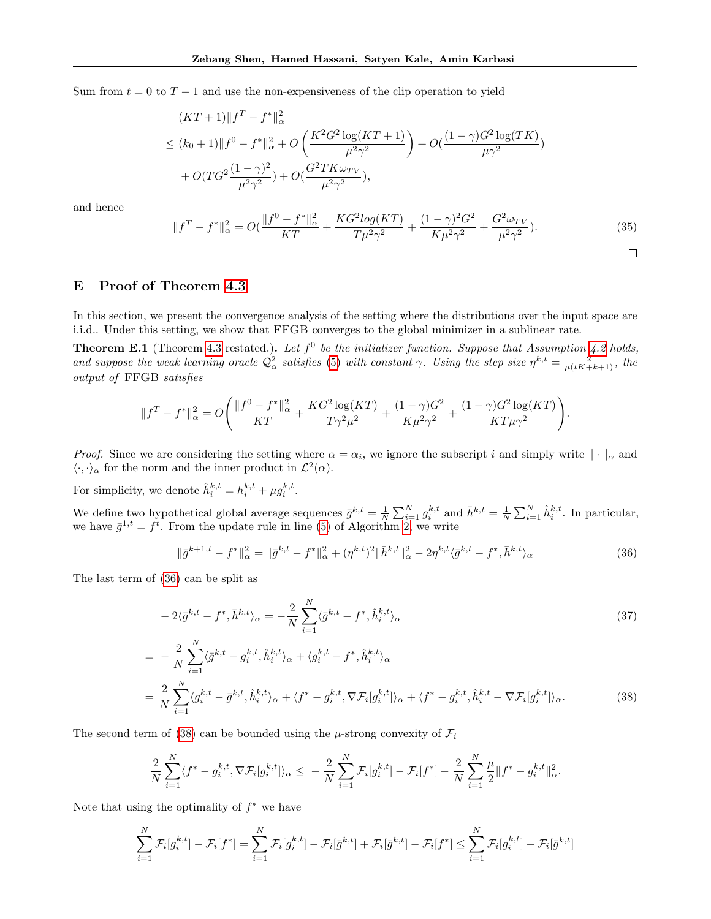Sum from  $t = 0$  to  $T - 1$  and use the non-expensiveness of the clip operation to yield

$$
(KT+1)\|f^T - f^*\|_{\alpha}^2
$$
  
\n
$$
\leq (k_0+1)\|f^0 - f^*\|_{\alpha}^2 + O\left(\frac{K^2G^2\log(KT+1)}{\mu^2\gamma^2}\right) + O\left(\frac{(1-\gamma)G^2\log(TK)}{\mu\gamma^2}\right)
$$
  
\n
$$
+ O(TG^2\frac{(1-\gamma)^2}{\mu^2\gamma^2}) + O\left(\frac{G^2TK\omega_{TV}}{\mu^2\gamma^2}\right),
$$

and hence

$$
||f^T - f^*||_{\alpha}^2 = O(\frac{||f^0 - f^*||_{\alpha}^2}{KT} + \frac{KG^2 \log(KT)}{T\mu^2 \gamma^2} + \frac{(1 - \gamma)^2 G^2}{K\mu^2 \gamma^2} + \frac{G^2 \omega_{TV}}{\mu^2 \gamma^2}).
$$
\n(35)

<span id="page-16-1"></span> $\Box$ 

# <span id="page-16-2"></span>E Proof of Theorem [4.3](#page-5-2)

In this section, we present the convergence analysis of the setting where the distributions over the input space are i.i.d.. Under this setting, we show that FFGB converges to the global minimizer in a sublinear rate.

**Theorem E.1** (Theorem [4.3](#page-5-2) restated.). Let  $f^0$  be the initializer function. Suppose that Assumption [4.2](#page-5-1) holds, and suppose the weak learning oracle  $Q^2_{\alpha}$  satisfies [\(5\)](#page-2-5) with constant  $\gamma$ . Using the step size  $\eta^{k,t} = \frac{2}{\mu(tK+k+1)}$ , the output of FFGB satisfies

$$
||f^T - f^*||_{\alpha}^2 = O\Bigg(\frac{||f^0 - f^*||_{\alpha}^2}{KT} + \frac{KG^2 \log(KT)}{T\gamma^2 \mu^2} + \frac{(1 - \gamma)G^2}{K\mu^2 \gamma^2} + \frac{(1 - \gamma)G^2 \log(KT)}{KT\mu\gamma^2}\Bigg).
$$

*Proof.* Since we are considering the setting where  $\alpha = \alpha_i$ , we ignore the subscript i and simply write  $\|\cdot\|_{\alpha}$  and  $\langle \cdot, \cdot \rangle_{\alpha}$  for the norm and the inner product in  $\mathcal{L}^2(\alpha)$ .

For simplicity, we denote  $\hat{h}_i^{k,t} = h_i^{k,t} + \mu g_i^{k,t}$ .

We define two hypothetical global average sequences  $\bar{g}^{k,t} = \frac{1}{N} \sum_{i=1}^{N} g_i^{k,t}$  and  $\bar{h}^{k,t} = \frac{1}{N} \sum_{i=1}^{N} \hat{h}_i^{k,t}$ . In particular, we have  $\bar{g}^{1,t} = f^t$ . From the update rule in line [\(5\)](#page-3-2) of Algorithm [2,](#page-3-2) we write

<span id="page-16-0"></span>
$$
\|\bar{g}^{k+1,t} - f^*\|_{\alpha}^2 = \|\bar{g}^{k,t} - f^*\|_{\alpha}^2 + (\eta^{k,t})^2 \|\bar{h}^{k,t}\|_{\alpha}^2 - 2\eta^{k,t} \langle \bar{g}^{k,t} - f^*, \bar{h}^{k,t} \rangle_{\alpha} \tag{36}
$$

The last term of [\(36\)](#page-16-0) can be split as

$$
-2\langle \bar{g}^{k,t} - f^*, \bar{h}^{k,t} \rangle_{\alpha} = -\frac{2}{N} \sum_{i=1}^N \langle \bar{g}^{k,t} - f^*, \hat{h}_i^{k,t} \rangle_{\alpha}
$$
\n
$$
= -\frac{2}{N} \sum_{i=1}^N \langle \bar{g}^{k,t} - g_i^{k,t}, \hat{h}_i^{k,t} \rangle_{\alpha} + \langle g_i^{k,t} - f^*, \hat{h}_i^{k,t} \rangle_{\alpha}
$$
\n
$$
= \frac{2}{N} \sum_{i=1}^N \langle g_i^{k,t} - \bar{g}^{k,t}, \hat{h}_i^{k,t} \rangle_{\alpha} + \langle f^* - g_i^{k,t}, \nabla \mathcal{F}_i[g_i^{k,t}] \rangle_{\alpha} + \langle f^* - g_i^{k,t}, \hat{h}_i^{k,t} - \nabla \mathcal{F}_i[g_i^{k,t}] \rangle_{\alpha}.
$$
\n(38)

The second term of [\(38\)](#page-16-1) can be bounded using the  $\mu$ -strong convexity of  $\mathcal{F}_i$ 

$$
\frac{2}{N}\sum_{i=1}^N \langle f^* - g_i^{k,t}, \nabla \mathcal{F}_i[g_i^{k,t}] \rangle_\alpha \leq -\frac{2}{N}\sum_{i=1}^N \mathcal{F}_i[g_i^{k,t}] - \mathcal{F}_i[f^*] - \frac{2}{N}\sum_{i=1}^N \frac{\mu}{2} \|f^* - g_i^{k,t}\|_\alpha^2.
$$

Note that using the optimality of  $f^*$  we have

$$
\sum_{i=1}^N \mathcal{F}_i[g_i^{k,t}] - \mathcal{F}_i[f^*] = \sum_{i=1}^N \mathcal{F}_i[g_i^{k,t}] - \mathcal{F}_i[\bar{g}^{k,t}] + \mathcal{F}_i[\bar{g}^{k,t}] - \mathcal{F}_i[f^*] \le \sum_{i=1}^N \mathcal{F}_i[g_i^{k,t}] - \mathcal{F}_i[\bar{g}^{k,t}]
$$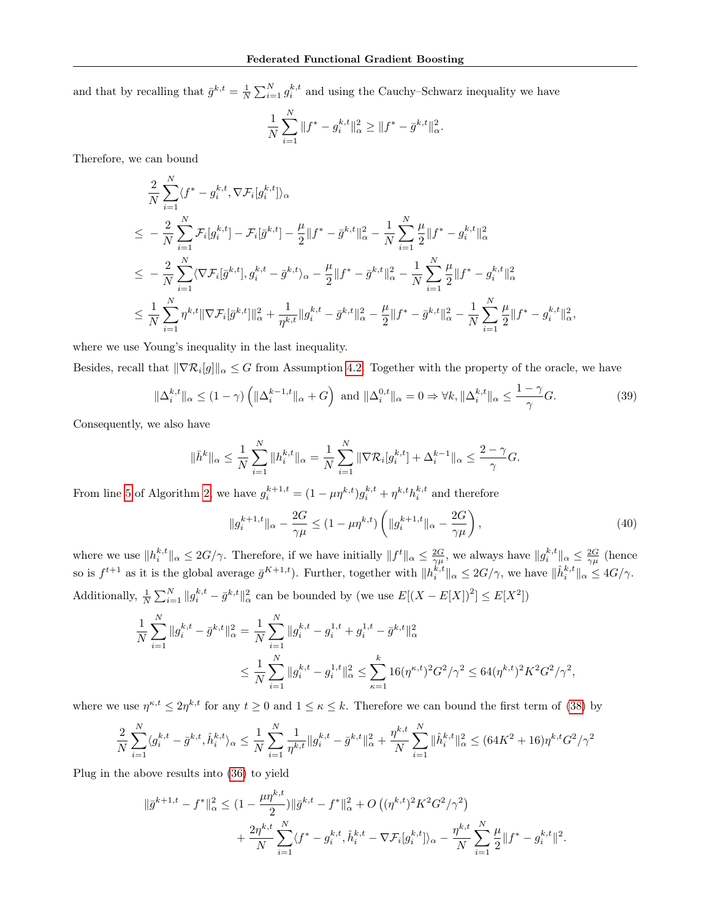and that by recalling that  $\bar{g}^{k,t} = \frac{1}{N} \sum_{i=1}^{N} g_i^{k,t}$  and using the Cauchy–Schwarz inequality we have

$$
\frac{1}{N} \sum_{i=1}^{N} \|f^* - g_i^{k,t}\|_{\alpha}^2 \ge \|f^* - \bar{g}^{k,t}\|_{\alpha}^2.
$$

Therefore, we can bound

$$
\frac{2}{N} \sum_{i=1}^{N} \langle f^* - g_i^{k,t}, \nabla \mathcal{F}_i[g_i^{k,t}] \rangle_{\alpha} \n\leq -\frac{2}{N} \sum_{i=1}^{N} \mathcal{F}_i[g_i^{k,t}] - \mathcal{F}_i[\bar{g}^{k,t}] - \frac{\mu}{2} ||f^* - \bar{g}^{k,t}||_{\alpha}^2 - \frac{1}{N} \sum_{i=1}^{N} \frac{\mu}{2} ||f^* - g_i^{k,t}||_{\alpha}^2 \n\leq -\frac{2}{N} \sum_{i=1}^{N} \langle \nabla \mathcal{F}_i[\bar{g}^{k,t}], g_i^{k,t} - \bar{g}^{k,t} \rangle_{\alpha} - \frac{\mu}{2} ||f^* - \bar{g}^{k,t}||_{\alpha}^2 - \frac{1}{N} \sum_{i=1}^{N} \frac{\mu}{2} ||f^* - g_i^{k,t}||_{\alpha}^2 \n\leq \frac{1}{N} \sum_{i=1}^{N} \eta^{k,t} ||\nabla \mathcal{F}_i[\bar{g}^{k,t}]||_{\alpha}^2 + \frac{1}{\eta^{k,t}} ||g_i^{k,t} - \bar{g}^{k,t}||_{\alpha}^2 - \frac{\mu}{2} ||f^* - \bar{g}^{k,t}||_{\alpha}^2 - \frac{1}{N} \sum_{i=1}^{N} \frac{\mu}{2} ||f^* - g_i^{k,t}||_{\alpha}^2,
$$

where we use Young's inequality in the last inequality.

Besides, recall that  $\|\nabla \mathcal{R}_i[g]\|_{\alpha} \leq G$  from Assumption [4.2.](#page-5-1) Together with the property of the oracle, we have

$$
\|\Delta_i^{k,t}\|_{\alpha} \le (1-\gamma) \left( \|\Delta_i^{k-1,t}\|_{\alpha} + G \right) \text{ and } \|\Delta_i^{0,t}\|_{\alpha} = 0 \Rightarrow \forall k, \|\Delta_i^{k,t}\|_{\alpha} \le \frac{1-\gamma}{\gamma}G. \tag{39}
$$

Consequently, we also have

$$
\|\bar{h}^{k}\|_{\alpha} \leq \frac{1}{N} \sum_{i=1}^{N} \|h_{i}^{k,t}\|_{\alpha} = \frac{1}{N} \sum_{i=1}^{N} \|\nabla \mathcal{R}_{i}[g_{i}^{k,t}] + \Delta_{i}^{k-1}\|_{\alpha} \leq \frac{2-\gamma}{\gamma}G.
$$

From line [5](#page-3-2) of Algorithm [2,](#page-3-2) we have  $g_i^{k+1,t} = (1 - \mu \eta^{k,t})g_i^{k,t} + \eta^{k,t}h_i^{k,t}$  and therefore

$$
||g_i^{k+1,t}||_{\alpha} - \frac{2G}{\gamma \mu} \le (1 - \mu \eta^{k,t}) \left( ||g_i^{k+1,t}||_{\alpha} - \frac{2G}{\gamma \mu} \right),\tag{40}
$$

where we use  $||h_i^{k,t}||_{\alpha} \leq 2G/\gamma$ . Therefore, if we have initially  $||f^t||_{\alpha} \leq \frac{2G}{\gamma\mu}$ , we always have  $||g_i^{k,t}||_{\alpha} \leq \frac{2G}{\gamma\mu}$  (hence so is  $f^{t+1}$  as it is the global average  $\bar{g}^{K+1,t}$ ). Further, together with  $||h_i^{k,t}||_{\alpha} \leq 2G/\gamma$ , we have  $||\hat{h}_i^{k,t}||_{\alpha} \leq 4G/\gamma$ . Additionally,  $\frac{1}{N} \sum_{i=1}^{N} ||g_i^{k,t} - \bar{g}^{k,t}||_{\alpha}^2$  can be bounded by (we use  $E[(X - E[X])^2] \le E[X^2]$ )

$$
\frac{1}{N} \sum_{i=1}^{N} \|g_i^{k,t} - \bar{g}^{k,t}\|_{\alpha}^2 = \frac{1}{N} \sum_{i=1}^{N} \|g_i^{k,t} - g_i^{1,t} + g_i^{1,t} - \bar{g}^{k,t}\|_{\alpha}^2
$$
\n
$$
\leq \frac{1}{N} \sum_{i=1}^{N} \|g_i^{k,t} - g_i^{1,t}\|_{\alpha}^2 \leq \sum_{\kappa=1}^{k} 16(\eta^{\kappa,t})^2 G^2 / \gamma^2 \leq 64(\eta^{k,t})^2 K^2 G^2 / \gamma^2,
$$

where we use  $\eta^{\kappa,t} \leq 2\eta^{k,t}$  for any  $t \geq 0$  and  $1 \leq \kappa \leq k$ . Therefore we can bound the first term of [\(38\)](#page-16-1) by

$$
\frac{2}{N}\sum_{i=1}^N \langle g_i^{k,t} - \bar{g}^{k,t}, \hat{h}_i^{k,t} \rangle_\alpha \le \frac{1}{N}\sum_{i=1}^N \frac{1}{\eta^{k,t}} \|g_i^{k,t} - \bar{g}^{k,t}\|_\alpha^2 + \frac{\eta^{k,t}}{N}\sum_{i=1}^N \|\hat{h}_i^{k,t}\|_\alpha^2 \le (64K^2 + 16)\eta^{k,t} G^2/\gamma^2
$$

Plug in the above results into [\(36\)](#page-16-0) to yield

$$
\begin{split} \|\bar{g}^{k+1,t} - f^*\|_{\alpha}^2 &\leq (1 - \frac{\mu\eta^{k,t}}{2}) \|\bar{g}^{k,t} - f^*\|_{\alpha}^2 + O\left((\eta^{k,t})^2 K^2 G^2 / \gamma^2\right) \\ &+ \frac{2\eta^{k,t}}{N} \sum_{i=1}^N \langle f^* - g_i^{k,t}, \hat{h}_i^{k,t} - \nabla \mathcal{F}_i[g_i^{k,t}] \rangle_{\alpha} - \frac{\eta^{k,t}}{N} \sum_{i=1}^N \frac{\mu}{2} \|f^* - g_i^{k,t}\|^2. \end{split}
$$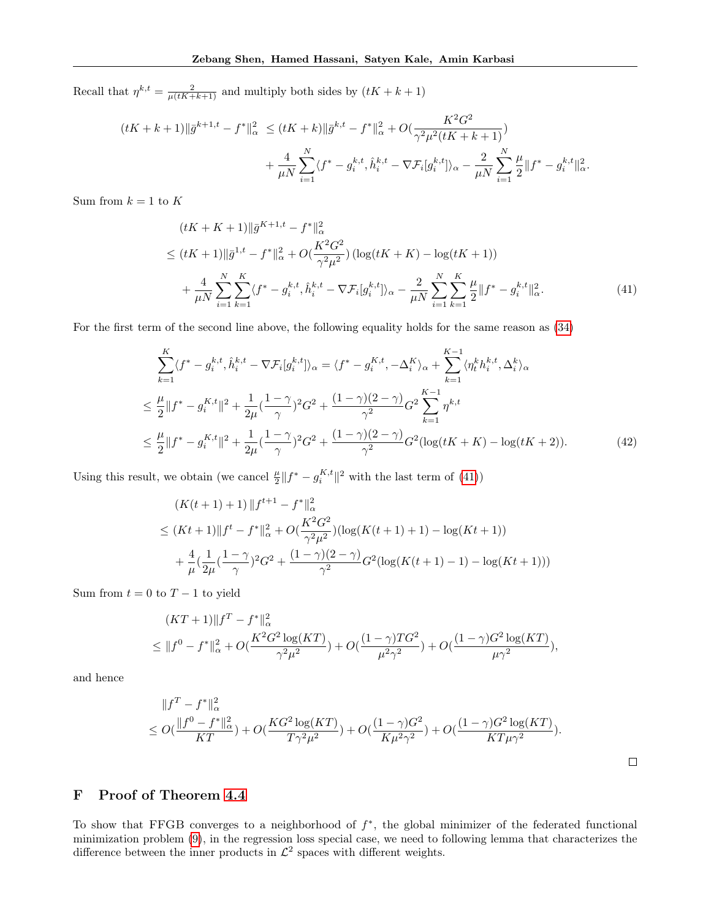Recall that  $\eta^{k,t} = \frac{2}{\mu(tK+k+1)}$  and multiply both sides by  $(tK + k + 1)$ 

$$
(tK + k + 1) \|\bar{g}^{k+1,t} - f^*\|_{\alpha}^2 \le (tK + k) \|\bar{g}^{k,t} - f^*\|_{\alpha}^2 + O(\frac{K^2 G^2}{\gamma^2 \mu^2 (tK + k + 1)}) + \frac{4}{\mu N} \sum_{i=1}^N \langle f^* - g_i^{k,t}, \hat{h}_i^{k,t} - \nabla \mathcal{F}_i[g_i^{k,t}] \rangle_{\alpha} - \frac{2}{\mu N} \sum_{i=1}^N \frac{\mu}{2} \|f^* - g_i^{k,t}\|_{\alpha}^2.
$$

Sum from  $k = 1$  to K

<span id="page-18-0"></span>
$$
(tK + K + 1) \|\bar{g}^{K+1,t} - f^*\|_{\alpha}^2
$$
  
\n
$$
\leq (tK + 1) \|\bar{g}^{1,t} - f^*\|_{\alpha}^2 + O(\frac{K^2 G^2}{\gamma^2 \mu^2}) \left(\log(tK + K) - \log(tK + 1)\right)
$$
  
\n
$$
+ \frac{4}{\mu N} \sum_{i=1}^N \sum_{k=1}^K \langle f^* - g_i^{k,t}, \hat{h}_i^{k,t} - \nabla \mathcal{F}_i[g_i^{k,t}] \rangle_{\alpha} - \frac{2}{\mu N} \sum_{i=1}^N \sum_{k=1}^K \frac{\mu}{2} \|f^* - g_i^{k,t}\|_{\alpha}^2.
$$
\n(41)

For the first term of the second line above, the following equality holds for the same reason as [\(34\)](#page-15-0)

$$
\sum_{k=1}^{K} \langle f^* - g_i^{k,t}, \hat{h}_i^{k,t} - \nabla \mathcal{F}_i[g_i^{k,t}] \rangle_{\alpha} = \langle f^* - g_i^{K,t}, -\Delta_i^{K} \rangle_{\alpha} + \sum_{k=1}^{K-1} \langle \eta_t^k h_i^{k,t}, \Delta_i^k \rangle_{\alpha}
$$
\n
$$
\leq \frac{\mu}{2} \| f^* - g_i^{K,t} \|^2 + \frac{1}{2\mu} (\frac{1-\gamma}{\gamma})^2 G^2 + \frac{(1-\gamma)(2-\gamma)}{\gamma^2} G^2 \sum_{k=1}^{K-1} \eta^{k,t}
$$
\n
$$
\leq \frac{\mu}{2} \| f^* - g_i^{K,t} \|^2 + \frac{1}{2\mu} (\frac{1-\gamma}{\gamma})^2 G^2 + \frac{(1-\gamma)(2-\gamma)}{\gamma^2} G^2 (\log(tK + K) - \log(tK + 2)). \tag{42}
$$

Using this result, we obtain (we cancel  $\frac{\mu}{2} || f^* - g_i^{K,t} ||^2$  with the last term of [\(41\)](#page-18-0))

$$
(K(t+1) + 1) \|f^{t+1} - f^*\|_{\alpha}^2
$$
  
\n
$$
\leq (Kt+1) \|f^t - f^*\|_{\alpha}^2 + O\left(\frac{K^2 G^2}{\gamma^2 \mu^2}\right) \left(\log(K(t+1) + 1) - \log(Kt+1)\right)
$$
  
\n
$$
+ \frac{4}{\mu} \left(\frac{1}{2\mu} \left(\frac{1-\gamma}{\gamma}\right)^2 G^2 + \frac{(1-\gamma)(2-\gamma)}{\gamma^2} G^2 \left(\log(K(t+1) - 1) - \log(Kt+1)\right)\right)
$$

Sum from  $t = 0$  to  $T - 1$  to yield

$$
(KT+1)\|f^T - f^*\|_{\alpha}^2
$$
  
\n
$$
\leq \|f^0 - f^*\|_{\alpha}^2 + O(\frac{K^2G^2\log(KT)}{\gamma^2\mu^2}) + O(\frac{(1-\gamma)TG^2}{\mu^2\gamma^2}) + O(\frac{(1-\gamma)G^2\log(KT)}{\mu\gamma^2}),
$$

and hence

$$
\begin{aligned} &\|f^T-f^*\|^2_{\alpha} \\ &\le O(\frac{\|f^0-f^*\|^2_{\alpha}}{KT})+O(\frac{KG^2\log(KT)}{T\gamma^2\mu^2})+O(\frac{(1-\gamma)G^2}{K\mu^2\gamma^2})+O(\frac{(1-\gamma)G^2\log(KT)}{KT\mu\gamma^2}). \end{aligned}
$$

 $\Box$ 

# F Proof of Theorem [4.4](#page-5-7)

To show that FFGB converges to a neighborhood of  $f^*$ , the global minimizer of the federated functional minimization problem [\(9\)](#page-3-0), in the regression loss special case, we need to following lemma that characterizes the difference between the inner products in  $\mathcal{L}^2$  spaces with different weights.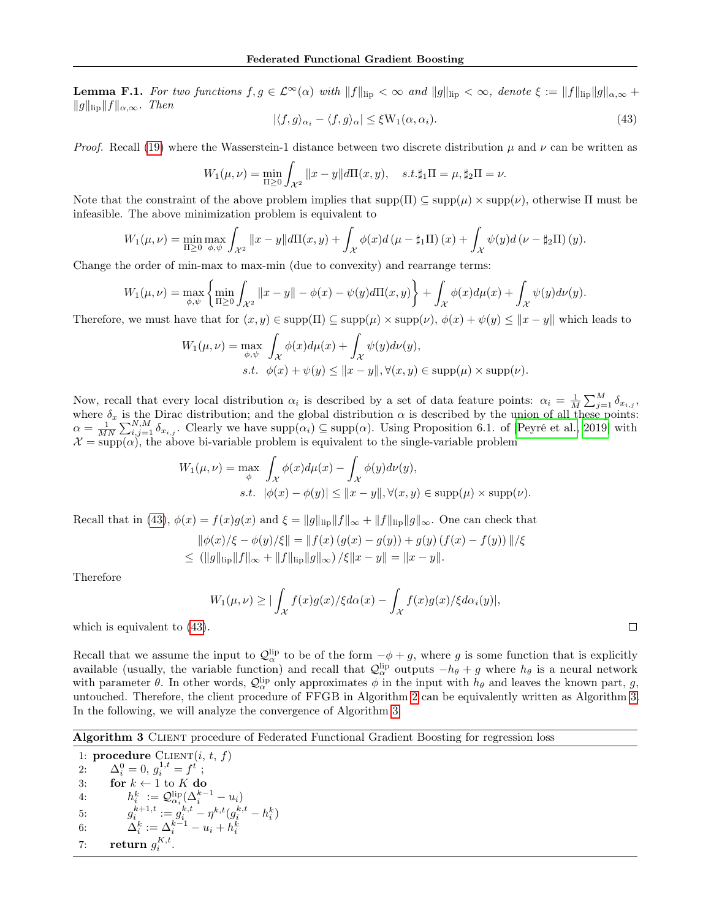**Lemma F.1.** For two functions  $f, g \in \mathcal{L}^{\infty}(\alpha)$  with  $||f||_{\text{lip}} < \infty$  and  $||g||_{\text{lip}} < \infty$ , denote  $\xi := ||f||_{\text{lip}}||g||_{\alpha,\infty}$  +  $||g||_{\text{lib}}||f||_{\alpha,\infty}$ . Then

<span id="page-19-0"></span>
$$
|\langle f, g \rangle_{\alpha_i} - \langle f, g \rangle_{\alpha}| \le \xi W_1(\alpha, \alpha_i). \tag{43}
$$

*Proof.* Recall [\(19\)](#page-11-0) where the Wasserstein-1 distance between two discrete distribution  $\mu$  and  $\nu$  can be written as

$$
W_1(\mu, \nu) = \min_{\Pi \ge 0} \int_{\mathcal{X}^2} ||x - y|| d\Pi(x, y), \quad s.t. \sharp_1 \Pi = \mu, \sharp_2 \Pi = \nu.
$$

Note that the constraint of the above problem implies that  $\text{supp}(\Pi) \subseteq \text{supp}(\mu) \times \text{supp}(\nu)$ , otherwise  $\Pi$  must be infeasible. The above minimization problem is equivalent to

$$
W_1(\mu,\nu) = \min_{\Pi \geq 0} \max_{\phi,\psi} \int_{\mathcal{X}^2} ||x - y|| d\Pi(x,y) + \int_{\mathcal{X}} \phi(x) d(\mu - \sharp_1 \Pi)(x) + \int_{\mathcal{X}} \psi(y) d(\nu - \sharp_2 \Pi)(y).
$$

Change the order of min-max to max-min (due to convexity) and rearrange terms:

$$
W_1(\mu,\nu) = \max_{\phi,\psi} \left\{ \min_{\Pi \geq 0} \int_{\mathcal{X}^2} ||x - y|| - \phi(x) - \psi(y) d\Pi(x,y) \right\} + \int_{\mathcal{X}} \phi(x) d\mu(x) + \int_{\mathcal{X}} \psi(y) d\nu(y).
$$

Therefore, we must have that for  $(x, y) \in \text{supp}(\Pi) \subseteq \text{supp}(\mu) \times \text{supp}(\nu)$ ,  $\phi(x) + \psi(y) \le ||x - y||$  which leads to

$$
W_1(\mu, \nu) = \max_{\phi, \psi} \int_{\mathcal{X}} \phi(x) d\mu(x) + \int_{\mathcal{X}} \psi(y) d\nu(y),
$$
  
s.t.  $\phi(x) + \psi(y) \le ||x - y||, \forall (x, y) \in \text{supp}(\mu) \times \text{supp}(\nu).$ 

Now, recall that every local distribution  $\alpha_i$  is described by a set of data feature points:  $\alpha_i = \frac{1}{M} \sum_{j=1}^{M} \delta_{x_{i,j}},$ where  $\delta_x$  is the Dirac distribution; and the global distribution  $\alpha$  is described by the union of all these points:  $\alpha = \frac{1}{MN} \sum_{i,j=1}^{N,M} \delta_{x_{i,j}}$ . Clearly we have  $\text{supp}(\alpha_i) \subseteq \text{supp}(\alpha)$ . Using Proposition 6.1. of [\[Peyré et al., 2019\]](#page-9-24) with  $\mathcal{X} = \text{supp}(\alpha)$ , the above bi-variable problem is equivalent to the single-variable problem

$$
W_1(\mu, \nu) = \max_{\phi} \int_{\mathcal{X}} \phi(x) d\mu(x) - \int_{\mathcal{X}} \phi(y) d\nu(y),
$$
  
s.t.  $|\phi(x) - \phi(y)| \le ||x - y||, \forall (x, y) \in \text{supp}(\mu) \times \text{supp}(\nu).$ 

Recall that in [\(43\)](#page-19-0),  $\phi(x) = f(x)g(x)$  and  $\xi = ||g||_{\text{lip}}||f||_{\infty} + ||f||_{\text{lip}}||g||_{\infty}$ . One can check that

$$
\|\phi(x)/\xi - \phi(y)/\xi\| = \|f(x) (g(x) - g(y)) + g(y) (f(x) - f(y))\|/\xi
$$
  
\n
$$
\leq (||g||_{\text{lip}} ||f||_{\infty} + ||f||_{\text{lip}} ||g||_{\infty}) / \xi ||x - y|| = ||x - y||.
$$

Therefore

$$
W_1(\mu,\nu) \geq |\int_{\mathcal{X}} f(x)g(x)/\xi d\alpha(x) - \int_{\mathcal{X}} f(x)g(x)/\xi d\alpha_i(y)|,
$$

which is equivalent to [\(43\)](#page-19-0).

Recall that we assume the input to  $\mathcal{Q}_{\alpha}^{\text{lip}}$  to be of the form  $-\phi + g$ , where g is some function that is explicitly available (usually, the variable function) and recall that  $\mathcal{Q}_{\alpha}^{lip}$  outputs  $-h_{\theta}+g$  where  $h_{\theta}$  is a neural network with parameter  $\theta$ . In other words,  $\mathcal{Q}_{\alpha}^{lip}$  only approximates  $\phi$  in the input with  $h_{\theta}$  and leaves the known part, g, untouched. Therefore, the client procedure of FFGB in Algorithm [2](#page-3-2) can be equivalently written as Algorithm [3.](#page-19-1) In the following, we will analyze the convergence of Algorithm [3.](#page-19-1)

<span id="page-19-1"></span>Algorithm 3 CLIENT procedure of Federated Functional Gradient Boosting for regression loss

1: procedure  $CLIENT(i, t, f)$ 2:  $\Delta_i^0 = 0, g_i^{1,t} = f^t;$ 3: for  $k \leftarrow 1$  to K do 4:  $h_i^k := Q_{\alpha_i}^{\text{lip}}(\Delta_i^{k-1} - u_i)$ 5:  $g_i^{k+1,t} := g_{i_i}^{k,t} - \eta^{k,t}(g_i^{k,t} - h_i^k)$ 6:  $\Delta_i^k := \Delta_i^{k-1} - u_i + h_i^k$ 

7: return 
$$
g_i^{K,t}
$$
.

 $\Box$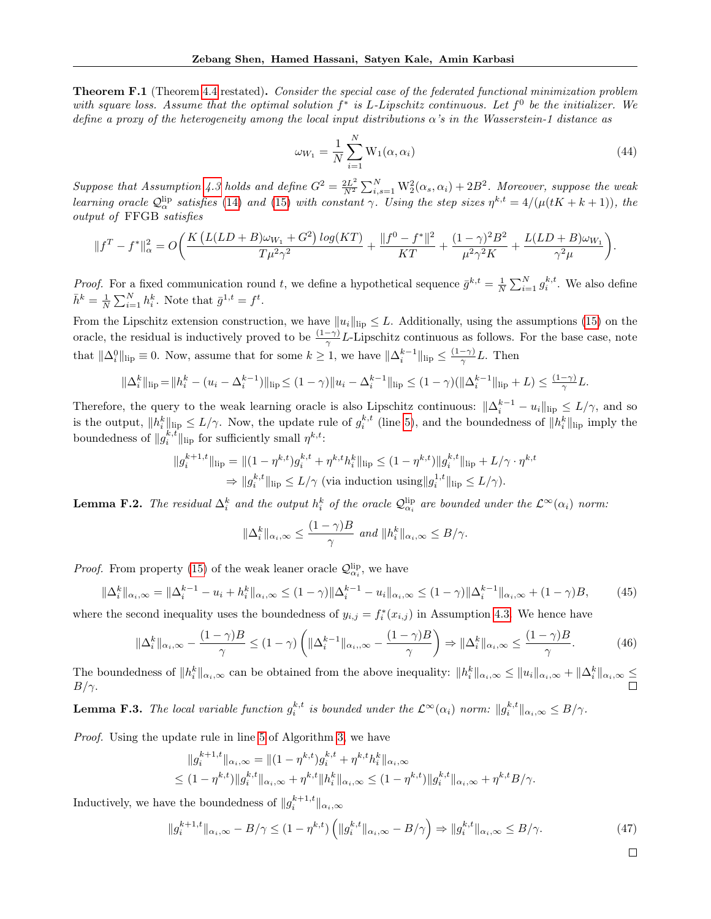Theorem F.1 (Theorem [4.4](#page-5-7) restated). Consider the special case of the federated functional minimization problem with square loss. Assume that the optimal solution  $f^*$  is L-Lipschitz continuous. Let  $f^0$  be the initializer. We define a proxy of the heterogeneity among the local input distributions  $\alpha$ 's in the Wasserstein-1 distance as

$$
\omega_{W_1} = \frac{1}{N} \sum_{i=1}^{N} \mathcal{W}_1(\alpha, \alpha_i)
$$
\n(44)

Suppose that Assumption [4.3](#page-5-4) holds and define  $G^2 = \frac{2L^2}{N^2}$  $\frac{2L^2}{N^2}\sum_{i,s=1}^N\text{W}_2^2(\alpha_s,\alpha_i)+2B^2$ . Moreover, suppose the weak learning oracle  $\mathcal{Q}_{\alpha}^{\text{lip}}$  satisfies [\(14\)](#page-5-5) and [\(15\)](#page-5-0) with constant  $\gamma$ . Using the step sizes  $\eta^{k,t} = 4/(\mu(tK + k + 1))$ , the output of FFGB satisfies

$$
||f^T - f^*||_{\alpha}^2 = O\bigg(\frac{K\left(L(LD + B)\omega_{W_1} + G^2\right)\log(KT)}{T\mu^2\gamma^2} + \frac{||f^0 - f^*||^2}{KT} + \frac{(1-\gamma)^2B^2}{\mu^2\gamma^2K} + \frac{L(LD + B)\omega_{W_1}}{\gamma^2\mu}\bigg).
$$

*Proof.* For a fixed communication round t, we define a hypothetical sequence  $\bar{g}^{k,t} = \frac{1}{N} \sum_{i=1}^{N} g_i^{k,t}$ . We also define  $\bar{h}^k = \frac{1}{N} \sum_{i=1}^N h_i^k$ . Note that  $\bar{g}^{1,t} = f^t$ .

From the Lipschitz extension construction, we have  $||u_i||_{\text{lip}} \leq L$ . Additionally, using the assumptions [\(15\)](#page-5-0) on the oracle, the residual is inductively proved to be  $\frac{(1-\gamma)}{\gamma}L$ -Lipschitz continuous as follows. For the base case, note that  $\|\Delta_i^0\|_{\text{lip}}\equiv 0$ . Now, assume that for some  $k\geq 1$ , we have  $\|\Delta_i^{k-1}\|_{\text{lip}}\leq \frac{(1-\gamma)}{\gamma}$  $\frac{-\gamma j}{\gamma}L$ . Then

$$
\|\Delta_i^k\|_{\text{lip}} = \|h_i^k - (u_i - \Delta_i^{k-1})\|_{\text{lip}} \le (1 - \gamma) \|u_i - \Delta_i^{k-1}\|_{\text{lip}} \le (1 - \gamma) (\|\Delta_i^{k-1}\|_{\text{lip}} + L) \le \frac{(1 - \gamma)}{\gamma} L.
$$

Therefore, the query to the weak learning oracle is also Lipschitz continuous:  $\|\Delta_i^{k-1} - u_i\|_{\text{lip}} \leq L/\gamma$ , and so is the output,  $||h_i^k||_{\text{lip}} \le L/\gamma$ . Now, the update rule of  $g_i^{k,t}$  (line [5\)](#page-19-1), and the boundedness of  $||h_i^k||_{\text{lip}}$  imply the boundedness of  $||g_i^{k,t}||_{\text{lip}}$  for sufficiently small  $\eta^{k,t}$ :

$$
||g_i^{k+1,t}||_{\text{lip}} = ||(1 - \eta^{k,t})g_i^{k,t} + \eta^{k,t}h_i^k||_{\text{lip}} \le (1 - \eta^{k,t})||g_i^{k,t}||_{\text{lip}} + L/\gamma \cdot \eta^{k,t}
$$
  
\n
$$
\Rightarrow ||g_i^{k,t}||_{\text{lip}} \le L/\gamma \text{ (via induction using } |g_i^{1,t}||_{\text{lip}} \le L/\gamma).
$$

<span id="page-20-1"></span>**Lemma F.2.** The residual  $\Delta_i^k$  and the output  $h_i^k$  of the oracle  $\mathcal{Q}_{\alpha_i}^{lip}$  are bounded under the  $\mathcal{L}^{\infty}(\alpha_i)$  norm:

$$
\|\Delta_i^k\|_{\alpha_i,\infty} \le \frac{(1-\gamma)B}{\gamma} \text{ and } \|h_i^k\|_{\alpha_i,\infty} \le B/\gamma.
$$

*Proof.* From property [\(15\)](#page-5-0) of the weak leaner oracle  $\mathcal{Q}_{\alpha_i}^{lip}$ , we have

$$
\|\Delta_i^k\|_{\alpha_i,\infty} = \|\Delta_i^{k-1} - u_i + h_i^k\|_{\alpha_i,\infty} \le (1-\gamma)\|\Delta_i^{k-1} - u_i\|_{\alpha_i,\infty} \le (1-\gamma)\|\Delta_i^{k-1}\|_{\alpha_i,\infty} + (1-\gamma)B,\tag{45}
$$

where the second inequality uses the boundedness of  $y_{i,j} = f_i^*(x_{i,j})$  in Assumption [4.3.](#page-5-4) We hence have

$$
\|\Delta_i^k\|_{\alpha_i,\infty} - \frac{(1-\gamma)B}{\gamma} \le (1-\gamma) \left( \|\Delta_i^{k-1}\|_{\alpha_i,\infty} - \frac{(1-\gamma)B}{\gamma} \right) \Rightarrow \|\Delta_i^k\|_{\alpha_i,\infty} \le \frac{(1-\gamma)B}{\gamma}.
$$
 (46)

The boundedness of  $||h_i^k||_{\alpha_i,\infty}$  can be obtained from the above inequality:  $||h_i^k||_{\alpha_i,\infty} \le ||u_i||_{\alpha_i,\infty} + ||\Delta_i^k||_{\alpha_i,\infty} \le$  $B/\gamma$ .

<span id="page-20-0"></span>**Lemma F.3.** The local variable function  $g_i^{k,t}$  is bounded under the  $\mathcal{L}^{\infty}(\alpha_i)$  norm:  $||g_i^{k,t}||_{\alpha_i,\infty} \leq B/\gamma$ .

Proof. Using the update rule in line [5](#page-19-1) of Algorithm [3,](#page-19-1) we have

$$
||g_i^{k+1,t}||_{\alpha_i,\infty} = ||(1-\eta^{k,t})g_i^{k,t} + \eta^{k,t}h_i^k||_{\alpha_i,\infty}
$$
  

$$
\leq (1-\eta^{k,t})||g_i^{k,t}||_{\alpha_i,\infty} + \eta^{k,t}||h_i^k||_{\alpha_i,\infty} \leq (1-\eta^{k,t})||g_i^{k,t}||_{\alpha_i,\infty} + \eta^{k,t}B/\gamma.
$$

Inductively, we have the boundedness of  $||g_i^{k+1,t}||_{\alpha_i,\infty}$ 

$$
||g_i^{k+1,t}||_{\alpha_i,\infty} - B/\gamma \le (1 - \eta^{k,t}) \left( ||g_i^{k,t}||_{\alpha_i,\infty} - B/\gamma \right) \Rightarrow ||g_i^{k,t}||_{\alpha_i,\infty} \le B/\gamma.
$$
 (47)

 $\Box$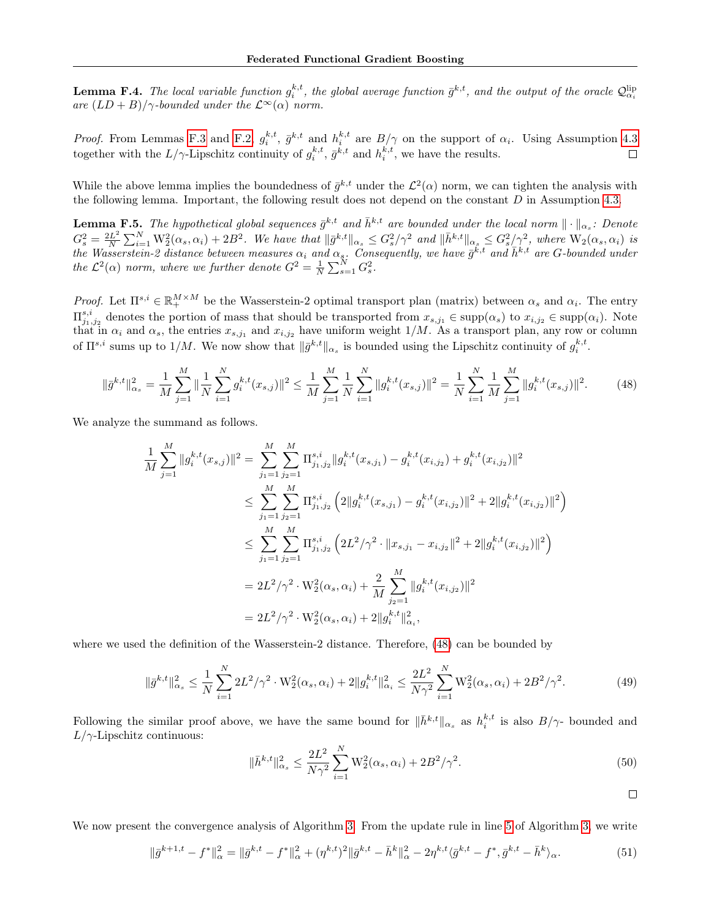**Lemma F.4.** The local variable function  $g_i^{k,t}$ , the global average function  $\bar{g}^{k,t}$ , and the output of the oracle  $\mathcal{Q}^{\text{lip}}_{\alpha_i}$ are  $(LD+B)/\gamma$ -bounded under the  $\mathcal{L}^{\infty}(\alpha)$  norm.

*Proof.* From Lemmas [F.3](#page-20-0) and [F.2,](#page-20-1)  $g_i^{k,t}$ ,  $\bar{g}^{k,t}$  and  $h_i^{k,t}$  are  $B/\gamma$  on the support of  $\alpha_i$ . Using Assumption [4.3](#page-5-4) together with the  $L/\gamma$ -Lipschitz continuity of  $g_i^{k,t}$ ,  $\bar{g}^{k,t}$  and  $h_i^{k,t}$ , we have the results.

While the above lemma implies the boundedness of  $\bar{g}^{k,t}$  under the  $\mathcal{L}^2(\alpha)$  norm, we can tighten the analysis with the following lemma. Important, the following result does not depend on the constant  $D$  in Assumption [4.3.](#page-5-4)

**Lemma F.5.** The hypothetical global sequences  $\bar{g}^{k,t}$  and  $\bar{h}^{k,t}$  are bounded under the local norm  $\|\cdot\|_{\alpha_s}$ : Denote  $G_s^2 = \frac{2L^2}{N}$  $\frac{dL^2}{dN}\sum_{i=1}^N\mathcal{W}_2^2(\alpha_s,\alpha_i)+2B^2$ . We have that  $\|\bar{g}^{k,t}\|_{\alpha_s}\leq G_s^2/\gamma^2$  and  $\|\bar{h}^{k,t}\|_{\alpha_s}\leq G_s^2/\gamma^2$ , where  $\mathcal{W}_2(\alpha_s,\alpha_i)$  is the Wasserstein-2 distance between measures  $\alpha_i$  and  $\alpha_s$ . Consequently, we have  $\bar{g}^{\tilde{k},t}$  and  $\bar{h}^{k,t}$  are G-bounded under the  $\mathcal{L}^2(\alpha)$  norm, where we further denote  $G^2 = \frac{1}{N} \sum_{s=1}^{N} G_s^2$ .

Proof. Let  $\Pi^{s,i} \in \mathbb{R}_+^{M \times M}$  be the Wasserstein-2 optimal transport plan (matrix) between  $\alpha_s$  and  $\alpha_i$ . The entry  $\Pi_{j_1,j_2}^{s,i}$  denotes the portion of mass that should be transported from  $x_{s,j_1} \in \text{supp}(\alpha_s)$  to  $x_{i,j_2} \in \text{supp}(\alpha_i)$ . Note that in  $\alpha_i$  and  $\alpha_s$ , the entries  $x_{s,j_1}$  and  $x_{i,j_2}$  have uniform weight 1/M. As a transport plan, any row or column of  $\Pi^{s,i}$  sums up to  $1/M$ . We now show that  $\|\bar{g}^{k,t}\|_{\alpha_s}$  is bounded using the Lipschitz continuity of  $g_i^{k,t}$ .

<span id="page-21-0"></span>
$$
\|\bar{g}^{k,t}\|_{\alpha_s}^2 = \frac{1}{M} \sum_{j=1}^M \|\frac{1}{N} \sum_{i=1}^N g_i^{k,t}(x_{s,j})\|^2 \le \frac{1}{M} \sum_{j=1}^M \frac{1}{N} \sum_{i=1}^N \|g_i^{k,t}(x_{s,j})\|^2 = \frac{1}{N} \sum_{i=1}^N \frac{1}{M} \sum_{j=1}^M \|g_i^{k,t}(x_{s,j})\|^2. \tag{48}
$$

We analyze the summand as follows.

$$
\frac{1}{M} \sum_{j=1}^{M} ||g_i^{k,t}(x_{s,j})||^2 = \sum_{j_1=1}^{M} \sum_{j_2=1}^{M} \Pi_{j_1,j_2}^{s,i} ||g_i^{k,t}(x_{s,j_1}) - g_i^{k,t}(x_{i,j_2}) + g_i^{k,t}(x_{i,j_2})||^2
$$
\n
$$
\leq \sum_{j_1=1}^{M} \sum_{j_2=1}^{M} \Pi_{j_1,j_2}^{s,i} \left( 2||g_i^{k,t}(x_{s,j_1}) - g_i^{k,t}(x_{i,j_2})||^2 + 2||g_i^{k,t}(x_{i,j_2})||^2 \right)
$$
\n
$$
\leq \sum_{j_1=1}^{M} \sum_{j_2=1}^{M} \Pi_{j_1,j_2}^{s,i} \left( 2L^2/\gamma^2 \cdot ||x_{s,j_1} - x_{i,j_2}||^2 + 2||g_i^{k,t}(x_{i,j_2})||^2 \right)
$$
\n
$$
= 2L^2/\gamma^2 \cdot \mathcal{W}_2^2(\alpha_s, \alpha_i) + \frac{2}{M} \sum_{j_2=1}^{M} ||g_i^{k,t}(x_{i,j_2})||^2
$$
\n
$$
= 2L^2/\gamma^2 \cdot \mathcal{W}_2^2(\alpha_s, \alpha_i) + 2||g_i^{k,t}||_{\alpha_i}^2,
$$

where we used the definition of the Wasserstein-2 distance. Therefore, [\(48\)](#page-21-0) can be bounded by

$$
\|\bar{g}^{k,t}\|_{\alpha_s}^2 \le \frac{1}{N} \sum_{i=1}^N 2L^2/\gamma^2 \cdot \mathcal{W}_2^2(\alpha_s, \alpha_i) + 2\|g_i^{k,t}\|_{\alpha_i}^2 \le \frac{2L^2}{N\gamma^2} \sum_{i=1}^N \mathcal{W}_2^2(\alpha_s, \alpha_i) + 2B^2/\gamma^2. \tag{49}
$$

Following the similar proof above, we have the same bound for  $\|\bar{h}^{k,t}\|_{\alpha_s}$  as  $h_i^{k,t}$  is also  $B/\gamma$ - bounded and  $L/\gamma$ -Lipschitz continuous:

$$
\|\bar{h}^{k,t}\|_{\alpha_s}^2 \le \frac{2L^2}{N\gamma^2} \sum_{i=1}^N \mathcal{W}_2^2(\alpha_s, \alpha_i) + 2B^2/\gamma^2. \tag{50}
$$

 $\Box$ 

We now present the convergence analysis of Algorithm [3.](#page-19-1) From the update rule in line [5](#page-19-1) of Algorithm [3,](#page-19-1) we write

<span id="page-21-1"></span>
$$
\|\bar{g}^{k+1,t} - f^*\|_{\alpha}^2 = \|\bar{g}^{k,t} - f^*\|_{\alpha}^2 + (\eta^{k,t})^2 \|\bar{g}^{k,t} - \bar{h}^k\|_{\alpha}^2 - 2\eta^{k,t} \langle \bar{g}^{k,t} - f^*, \bar{g}^{k,t} - \bar{h}^k \rangle_{\alpha}.
$$
 (51)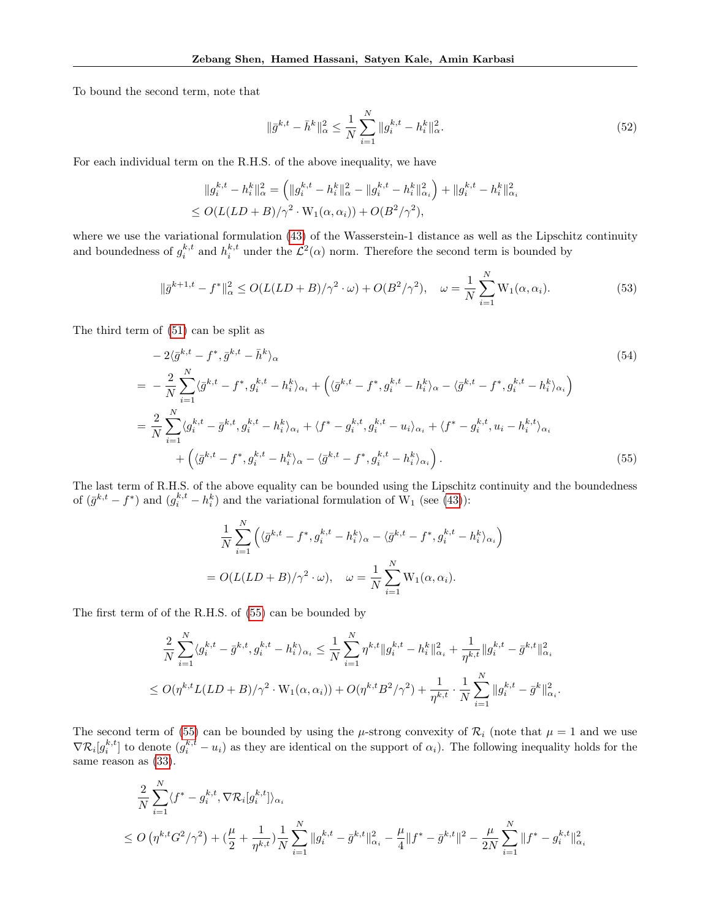To bound the second term, note that

$$
\|\bar{g}^{k,t} - \bar{h}^k\|_{\alpha}^2 \le \frac{1}{N} \sum_{i=1}^N \|g_i^{k,t} - h_i^k\|_{\alpha}^2.
$$
\n(52)

<span id="page-22-0"></span> $\setminus$ 

For each individual term on the R.H.S. of the above inequality, we have

$$
||g_i^{k,t} - h_i^k||_{\alpha}^2 = (||g_i^{k,t} - h_i^k||_{\alpha}^2 - ||g_i^{k,t} - h_i^k||_{\alpha_i}^2) + ||g_i^{k,t} - h_i^k||_{\alpha_i}^2
$$
  
\n
$$
\le O(L(LD + B)/\gamma^2 \cdot W_1(\alpha, \alpha_i)) + O(B^2/\gamma^2),
$$

where we use the variational formulation [\(43\)](#page-19-0) of the Wasserstein-1 distance as well as the Lipschitz continuity and boundedness of  $g_i^{k,t}$  and  $h_i^{k,t}$  under the  $\mathcal{L}^2(\alpha)$  norm. Therefore the second term is bounded by

$$
\|\bar{g}^{k+1,t} - f^*\|_{\alpha}^2 \le O(L(LD + B)/\gamma^2 \cdot \omega) + O(B^2/\gamma^2), \quad \omega = \frac{1}{N} \sum_{i=1}^N \mathcal{W}_1(\alpha, \alpha_i). \tag{53}
$$

The third term of [\(51\)](#page-21-1) can be split as

$$
-2\langle \bar{g}^{k,t} - f^*, \bar{g}^{k,t} - \bar{h}^k \rangle_{\alpha}
$$
\n
$$
= -\frac{2}{N} \sum_{i=1}^{N} \langle \bar{g}^{k,t} - f^*, g_i^{k,t} - h_i^k \rangle_{\alpha_i} + \left( \langle \bar{g}^{k,t} - f^*, g_i^{k,t} - h_i^k \rangle_{\alpha} - \langle \bar{g}^{k,t} - f^*, g_i^{k,t} - h_i^k \rangle_{\alpha_i} \right)
$$
\n
$$
= \frac{2}{N} \sum_{i=1}^{N} \langle g_i^{k,t} - \bar{g}^{k,t}, g_i^{k,t} - h_i^k \rangle_{\alpha_i} + \langle f^* - g_i^{k,t}, g_i^{k,t} - u_i \rangle_{\alpha_i} + \langle f^* - g_i^{k,t}, u_i - h_i^{k,t} \rangle_{\alpha_i}
$$
\n
$$
+ \left( \langle \bar{g}^{k,t} - f^*, g_i^{k,t} - h_i^k \rangle_{\alpha} - \langle \bar{g}^{k,t} - f^*, g_i^{k,t} - h_i^k \rangle_{\alpha_i} \right).
$$
\n(55)

The last term of R.H.S. of the above equality can be bounded using the Lipschitz continuity and the boundedness of  $(\bar{g}^{k,t} - f^*)$  and  $(g_i^{k,t} - h_i^k)$  and the variational formulation of  $\tilde{W}_1$  (see [\(43\)](#page-19-0)):

$$
\frac{1}{N} \sum_{i=1}^{N} \left( \langle \bar{g}^{k,t} - f^*, g_i^{k,t} - h_i^k \rangle_{\alpha} - \langle \bar{g}^{k,t} - f^*, g_i^{k,t} - h_i^k \rangle_{\alpha_i} \right)
$$

$$
= O(L(LD + B)/\gamma^2 \cdot \omega), \quad \omega = \frac{1}{N} \sum_{i=1}^{N} W_1(\alpha, \alpha_i).
$$

The first term of of the R.H.S. of [\(55\)](#page-22-0) can be bounded by

$$
\frac{2}{N} \sum_{i=1}^{N} \langle g_i^{k,t} - \bar{g}^{k,t}, g_i^{k,t} - h_i^k \rangle_{\alpha_i} \le \frac{1}{N} \sum_{i=1}^{N} \eta^{k,t} \| g_i^{k,t} - h_i^k \|_{\alpha_i}^2 + \frac{1}{\eta^{k,t}} \| g_i^{k,t} - \bar{g}^{k,t} \|_{\alpha_i}^2
$$
  

$$
\le O(\eta^{k,t} L(LD + B) / \gamma^2 \cdot W_1(\alpha, \alpha_i)) + O(\eta^{k,t} B^2 / \gamma^2) + \frac{1}{\eta^{k,t}} \cdot \frac{1}{N} \sum_{i=1}^{N} \| g_i^{k,t} - \bar{g}^k \|_{\alpha_i}^2.
$$

The second term of [\(55\)](#page-22-0) can be bounded by using the  $\mu$ -strong convexity of  $\mathcal{R}_i$  (note that  $\mu = 1$  and we use  $\nabla \mathcal{R}_i[g_i^{k,t}]$  to denote  $(g_i^{k,t} - u_i)$  as they are identical on the support of  $\alpha_i$ ). The following inequality holds for the same reason as [\(33\)](#page-14-0).

$$
\frac{2}{N} \sum_{i=1}^{N} \langle f^* - g_i^{k,t}, \nabla \mathcal{R}_i[g_i^{k,t}] \rangle_{\alpha_i}
$$
\n
$$
\leq O\left(\eta^{k,t} G^2 / \gamma^2\right) + \left(\frac{\mu}{2} + \frac{1}{\eta^{k,t}}\right) \frac{1}{N} \sum_{i=1}^{N} \|g_i^{k,t} - \bar{g}^{k,t}\|_{\alpha_i}^2 - \frac{\mu}{4} \|f^* - \bar{g}^{k,t}\|^2 - \frac{\mu}{2N} \sum_{i=1}^{N} \|f^* - g_i^{k,t}\|_{\alpha_i}^2
$$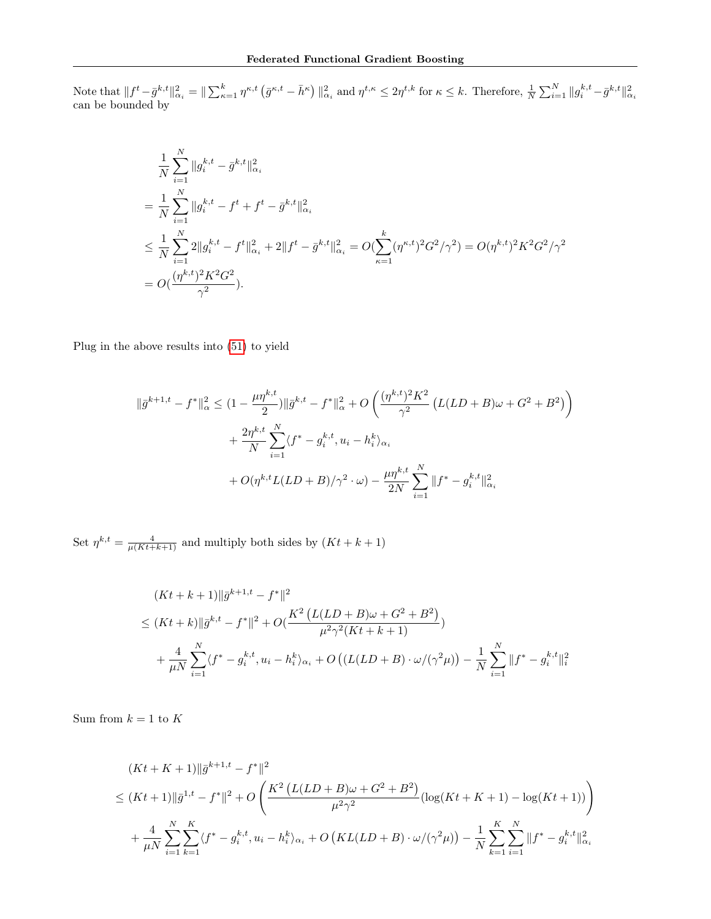Note that  $||f^t - \bar{g}^{k,t}||_{\alpha_i}^2 = ||\sum_{\kappa=1}^k \eta^{\kappa,t} (\bar{g}^{\kappa,t} - \bar{h}^{\kappa})||_{\alpha_i}^2$  and  $\eta^{t,\kappa} \leq 2\eta^{t,k}$  for  $\kappa \leq k$ . Therefore,  $\frac{1}{N} \sum_{i=1}^N ||g_i^{k,t} - \bar{g}^{k,t}||_{\alpha_i}^2$ <br>can be bounded by

$$
\frac{1}{N} \sum_{i=1}^{N} \|g_i^{k,t} - \bar{g}^{k,t}\|_{\alpha_i}^2
$$
\n
$$
= \frac{1}{N} \sum_{i=1}^{N} \|g_i^{k,t} - f^t + f^t - \bar{g}^{k,t}\|_{\alpha_i}^2
$$
\n
$$
\leq \frac{1}{N} \sum_{i=1}^{N} 2 \|g_i^{k,t} - f^t\|_{\alpha_i}^2 + 2 \|f^t - \bar{g}^{k,t}\|_{\alpha_i}^2 = O(\sum_{\kappa=1}^{k} (\eta^{\kappa,t})^2 G^2 / \gamma^2) = O(\eta^{k,t})^2 K^2 G^2 / \gamma^2
$$
\n
$$
= O(\frac{(\eta^{k,t})^2 K^2 G^2}{\gamma^2}).
$$

Plug in the above results into [\(51\)](#page-21-1) to yield

$$
\|\bar{g}^{k+1,t} - f^*\|_{\alpha}^2 \le (1 - \frac{\mu \eta^{k,t}}{2}) \|\bar{g}^{k,t} - f^*\|_{\alpha}^2 + O\left(\frac{(\eta^{k,t})^2 K^2}{\gamma^2} \left(L(LD + B)\omega + G^2 + B^2\right)\right) + \frac{2\eta^{k,t}}{N} \sum_{i=1}^N \langle f^* - g_i^{k,t}, u_i - h_i^k \rangle_{\alpha_i} + O(\eta^{k,t} L(LD + B)/\gamma^2 \cdot \omega) - \frac{\mu \eta^{k,t}}{2N} \sum_{i=1}^N \|f^* - g_i^{k,t}\|_{\alpha_i}^2
$$

Set  $\eta^{k,t} = \frac{4}{\mu(Kt+k+1)}$  and multiply both sides by  $(Kt + k + 1)$ 

$$
(Kt + k + 1) \|\bar{g}^{k+1,t} - f^*\|^2
$$
  
\n
$$
\leq (Kt + k) \|\bar{g}^{k,t} - f^*\|^2 + O\left(\frac{K^2 \left(L(LD + B)\omega + G^2 + B^2\right)}{\mu^2 \gamma^2 (Kt + k + 1)}\right)
$$
  
\n
$$
+ \frac{4}{\mu N} \sum_{i=1}^N \langle f^* - g_i^{k,t}, u_i - h_i^k \rangle_{\alpha_i} + O\left((L(LD + B) \cdot \omega/(\gamma^2 \mu)) - \frac{1}{N} \sum_{i=1}^N \|f^* - g_i^{k,t}\|_i^2\right)
$$

Sum from  $k = 1$  to K

$$
(Kt + K + 1) \|\bar{g}^{k+1,t} - f^*\|^2
$$
  
\n
$$
\leq (Kt + 1) \|\bar{g}^{1,t} - f^*\|^2 + O\left(\frac{K^2 \left(L(LD + B)\omega + G^2 + B^2\right)}{\mu^2 \gamma^2} \left(\log(Kt + K + 1) - \log(Kt + 1)\right)\right)
$$
  
\n
$$
+ \frac{4}{\mu N} \sum_{i=1}^N \sum_{k=1}^K \langle f^* - g_i^{k,t}, u_i - h_i^k \rangle_{\alpha_i} + O\left(KL(LD + B) \cdot \omega/(\gamma^2 \mu)\right) - \frac{1}{N} \sum_{k=1}^K \sum_{i=1}^N \|f^* - g_i^{k,t}\|_{\alpha_i}^2
$$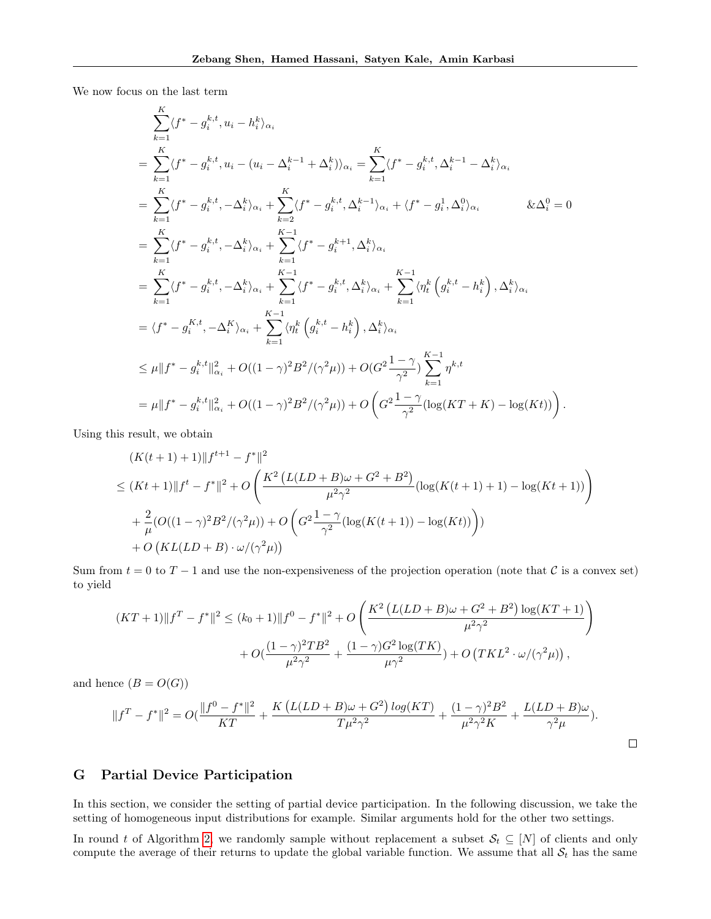We now focus on the last term

K

$$
\sum_{k=1}^{N} \langle f^* - g_i^{k,t}, u_i - h_i^k \rangle_{\alpha_i} \n= \sum_{k=1}^{K} \langle f^* - g_i^{k,t}, u_i - (u_i - \Delta_i^{k-1} + \Delta_i^k) \rangle_{\alpha_i} = \sum_{k=1}^{K} \langle f^* - g_i^{k,t}, \Delta_i^{k-1} - \Delta_i^k \rangle_{\alpha_i} \n= \sum_{k=1}^{K} \langle f^* - g_i^{k,t}, -\Delta_i^k \rangle_{\alpha_i} + \sum_{k=2}^{K} \langle f^* - g_i^{k,t}, \Delta_i^{k-1} \rangle_{\alpha_i} + \langle f^* - g_i^1, \Delta_i^0 \rangle_{\alpha_i} \qquad & \& \Delta_i^0 = 0 \n= \sum_{k=1}^{K} \langle f^* - g_i^{k,t}, -\Delta_i^k \rangle_{\alpha_i} + \sum_{k=1}^{K-1} \langle f^* - g_i^{k+1}, \Delta_i^k \rangle_{\alpha_i} \n= \sum_{k=1}^{K} \langle f^* - g_i^{k,t}, -\Delta_i^k \rangle_{\alpha_i} + \sum_{k=1}^{K-1} \langle f^* - g_i^{k,t}, \Delta_i^k \rangle_{\alpha_i} + \sum_{k=1}^{K-1} \langle \eta_i^k \left( g_i^{k,t} - h_i^k \right), \Delta_i^k \rangle_{\alpha_i} \n= \langle f^* - g_i^{K,t}, -\Delta_i^K \rangle_{\alpha_i} + \sum_{k=1}^{K-1} \langle \eta_i^k \left( g_i^{k,t} - h_i^k \right), \Delta_i^k \rangle_{\alpha_i} \n\leq \mu || f^* - g_i^{k,t} ||_{\alpha_i}^2 + O((1 - \gamma)^2 B^2/(\gamma^2 \mu)) + O\left(G^2 \frac{1 - \gamma}{\gamma^2} \right) \sum_{k=1}^{K-1} \eta^{k,t} \n= \mu || f^* - g_i^{k,t} ||_{\alpha_i}^2 + O((1 - \gamma)^2 B^2/(\gamma^2 \mu)) + O\left(G^2 \frac{1 - \gamma}{\gamma^2} (\log(KT + K) - \log(Kt))\right).
$$

Using this result, we obtain

$$
(K(t+1) + 1) ||f^{t+1} - f^*||^2
$$
  
\n
$$
\leq (Kt+1) ||f^t - f^*||^2 + O\left(\frac{K^2 (L(LD + B)\omega + G^2 + B^2)}{\mu^2 \gamma^2} (\log(K(t+1) + 1) - \log(Kt+1))\right)
$$
  
\n
$$
+ \frac{2}{\mu} (O((1-\gamma)^2 B^2/(\gamma^2 \mu)) + O\left(G^2 \frac{1-\gamma}{\gamma^2} (\log(K(t+1)) - \log(Kt))\right))
$$
  
\n
$$
+ O\left(KL(LD + B) \cdot \omega/(\gamma^2 \mu)\right)
$$

Sum from  $t = 0$  to  $T - 1$  and use the non-expensiveness of the projection operation (note that C is a convex set) to yield

$$
(KT+1)\|f^T - f^*\|^2 \le (k_0+1)\|f^0 - f^*\|^2 + O\left(\frac{K^2\left(L(LD+B)\omega + G^2 + B^2\right)\log(KT+1)}{\mu^2\gamma^2}\right) + O\left(\frac{(1-\gamma)^2TB^2}{\mu^2\gamma^2} + \frac{(1-\gamma)G^2\log(TK)}{\mu\gamma^2}\right) + O\left(TKL^2 \cdot \omega/(\gamma^2\mu)\right),
$$

and hence  $(B = O(G))$ 

$$
||f^T - f^*||^2 = O(\frac{||f^0 - f^*||^2}{KT} + \frac{K(L(LD + B)\omega + G^2) \log(KT)}{T\mu^2 \gamma^2} + \frac{(1 - \gamma)^2 B^2}{\mu^2 \gamma^2 K} + \frac{L(LD + B)\omega}{\gamma^2 \mu}).
$$

# G Partial Device Participation

In this section, we consider the setting of partial device participation. In the following discussion, we take the setting of homogeneous input distributions for example. Similar arguments hold for the other two settings.

In round t of Algorithm [2,](#page-3-2) we randomly sample without replacement a subset  $S_t \subseteq [N]$  of clients and only compute the average of their returns to update the global variable function. We assume that all  $S_t$  has the same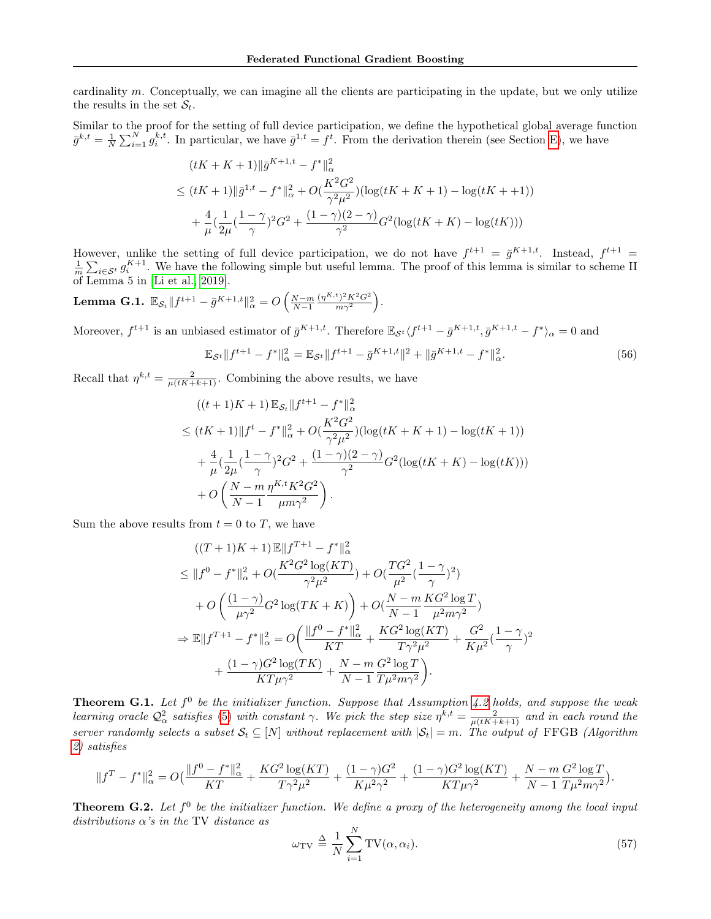cardinality  $m$ . Conceptually, we can imagine all the clients are participating in the update, but we only utilize the results in the set  $S_t$ .

Similar to the proof for the setting of full device participation, we define the hypothetical global average function  $\bar{g}^{k,t} = \frac{1}{N} \sum_{i=1}^{N} g_i^{k,t}$ . In particular, we have  $\bar{g}^{1,t} = f^t$ . From the derivation therein (see Section [E\)](#page-16-2), we have

$$
(tK + K + 1) \|\bar{g}^{K+1,t} - f^*\|_{\alpha}^2
$$
  
\n
$$
\leq (tK + 1) \|\bar{g}^{1,t} - f^*\|_{\alpha}^2 + O\left(\frac{K^2 G^2}{\gamma^2 \mu^2}\right) \left(\log(tK + K + 1) - \log(tK + 1)\right)
$$
  
\n
$$
+ \frac{4}{\mu} \left(\frac{1}{2\mu} \left(\frac{1 - \gamma}{\gamma}\right)^2 G^2 + \frac{(1 - \gamma)(2 - \gamma)}{\gamma^2} G^2 \left(\log(tK + K) - \log(tK)\right)\right)
$$

However, unlike the setting of full device participation, we do not have  $f^{t+1} = \bar{g}^{K+1,t}$ . Instead,  $f^{t+1} = \frac{1}{m} \sum_{i \in S^t} g_i^{K+1}$ . We have the following simple but useful lemma. The proof of this lemma is similar of Lemma 5 in [\[Li et al., 2019\]](#page-9-14).

Lemma G.1.  $\mathbb{E}_{\mathcal{S}_t} \| f^{t+1} - \bar{g}^{K+1,t} \|_\alpha^2 = O\left(\frac{N-m}{N-1}\right)$  $(\eta^{K,t})^2 K^2 G^2$  $\frac{\binom{t}{2}K^2G^2}{m\gamma^2}.$ 

Moreover,  $f^{t+1}$  is an unbiased estimator of  $\bar{g}^{K+1,t}$ . Therefore  $\mathbb{E}_{\mathcal{S}^t} \langle f^{t+1} - \bar{g}^{K+1,t}, \bar{g}^{K+1,t} - f^* \rangle_\alpha = 0$  and

$$
\mathbb{E}_{\mathcal{S}^t} \| f^{t+1} - f^* \|_{\alpha}^2 = \mathbb{E}_{\mathcal{S}^t} \| f^{t+1} - \bar{g}^{K+1,t} \|^2 + \| \bar{g}^{K+1,t} - f^* \|_{\alpha}^2.
$$
 (56)

Recall that  $\eta^{k,t} = \frac{2}{\mu(tK+k+1)}$ . Combining the above results, we have

$$
((t+1)K+1)\mathbb{E}_{\mathcal{S}_t}||f^{t+1} - f^*||_{\alpha}^2
$$
  
\n
$$
\leq (tK+1)||f^t - f^*||_{\alpha}^2 + O(\frac{K^2G^2}{\gamma^2\mu^2})(\log(tK+K+1) - \log(tK+1))
$$
  
\n
$$
+ \frac{4}{\mu}(\frac{1}{2\mu}(\frac{1-\gamma}{\gamma})^2G^2 + \frac{(1-\gamma)(2-\gamma)}{\gamma^2}G^2(\log(tK+K) - \log(tK)))
$$
  
\n
$$
+ O\left(\frac{N-m}{N-1}\frac{\eta^{K,t}K^2G^2}{\mu m\gamma^2}\right).
$$

Sum the above results from  $t = 0$  to T, we have

$$
((T+1)K+1)\mathbb{E}||f^{T+1} - f^*||_{\alpha}^2
$$
  
\n
$$
\leq ||f^0 - f^*||_{\alpha}^2 + O(\frac{K^2G^2\log(KT)}{\gamma^2\mu^2}) + O(\frac{TG^2}{\mu^2}(\frac{1-\gamma}{\gamma})^2)
$$
  
\n
$$
+ O\left(\frac{(1-\gamma)}{\mu\gamma^2}G^2\log(TK+K)\right) + O(\frac{N-m}{N-1}\frac{KG^2\log T}{\mu^2m\gamma^2})
$$
  
\n
$$
\Rightarrow \mathbb{E}||f^{T+1} - f^*||_{\alpha}^2 = O\left(\frac{||f^0 - f^*||_{\alpha}^2}{KT} + \frac{KG^2\log(KT)}{T\gamma^2\mu^2} + \frac{G^2}{K\mu^2}(\frac{1-\gamma}{\gamma})^2 + \frac{(1-\gamma)G^2\log(TK)}{KT\mu\gamma^2} + \frac{N-m}{N-1}\frac{G^2\log T}{T\mu^2m\gamma^2}\right).
$$

**Theorem G.1.** Let  $f^0$  be the initializer function. Suppose that Assumption [4.2](#page-5-1) holds, and suppose the weak learning oracle  $\mathcal{Q}^2_\alpha$  satisfies [\(5\)](#page-2-5) with constant  $\gamma$ . We pick the step size  $\eta^{k,t} = \frac{2}{\mu(tK+k+1)}$  and in each round the server randomly selects a subset  $S_t \subseteq [N]$  without replacement with  $|S_t| = m$ . The output of FFGB (Algorithm [2\)](#page-3-2) satisfies

$$
||f^T - f^*||_{\alpha}^2 = O\left(\frac{||f^0 - f^*||_{\alpha}^2}{KT} + \frac{KG^2 \log(KT)}{T\gamma^2 \mu^2} + \frac{(1-\gamma)G^2}{K\mu^2 \gamma^2} + \frac{(1-\gamma)G^2 \log(KT)}{KT\mu\gamma^2} + \frac{N-m}{N-1} \frac{G^2 \log T}{T\mu^2 m\gamma^2}\right).
$$

**Theorem G.2.** Let  $f^0$  be the initializer function. We define a proxy of the heterogeneity among the local input distributions  $\alpha$ 's in the TV distance as

$$
\omega_{\rm TV} \triangleq \frac{1}{N} \sum_{i=1}^{N} \text{TV}(\alpha, \alpha_i). \tag{57}
$$